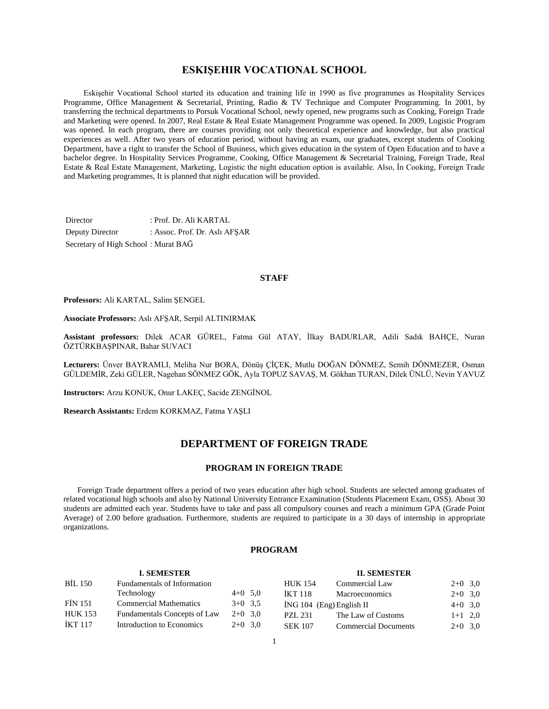# **ESKIŞEHIR VOCATIONAL SCHOOL**

 Eskişehir Vocational School started its education and training life in 1990 as five programmes as Hospitality Services Programme, Office Management & Secretarial, Printing, Radio & TV Technique and Computer Programming. In 2001, by transferring the technical departments to Porsuk Vocational School, newly opened, new programs such as Cooking, Foreign Trade and Marketing were opened. In 2007, Real Estate & Real Estate Management Programme was opened. In 2009, Logistic Program was opened. In each program, there are courses providing not only theoretical experience and knowledge, but also practical experiences as well. After two years of education period, without having an exam, our graduates, except students of Cooking Department, have a right to transfer the School of Business, which gives education in the system of Open Education and to have a bachelor degree. In Hospitality Services Programme, Cooking, Office Management & Secretarial Training, Foreign Trade, Real Estate & Real Estate Management, Marketing, Logistic the night education option is available. Also, İn Cooking, Foreign Trade and Marketing programmes, It is planned that night education will be provided.

Director : Prof. Dr. Ali KARTAL Deputy Director : Assoc. Prof. Dr. Aslı AFŞAR Secretary of High School : Murat BAĞ

#### **STAFF**

**Professors:** Ali KARTAL, Salim ŞENGEL

**Associate Professors:** Aslı AFŞAR, Serpil ALTINIRMAK

**Assistant professors:** Dilek ACAR GÜREL, Fatma Gül ATAY, İlkay BADURLAR, Adili Sadık BAHÇE, Nuran ÖZTÜRKBAŞPINAR, Bahar SUVACI

**Lecturers:** Ünver BAYRAMLI, Meliha Nur BORA, Dönüş ÇİÇEK, Mutlu DOĞAN DÖNMEZ, Semih DÖNMEZER, Osman GÜLDEMİR, Zeki GÜLER, Nagehan SÖNMEZ GÖK, Ayla TOPUZ SAVAŞ, M. Gökhan TURAN, Dilek ÜNLÜ, Nevin YAVUZ

**Instructors:** Arzu KONUK, Onur LAKEÇ, Sacide ZENGİNOL

**Research Assistants:** Erdem KORKMAZ, Fatma YAŞLI

## **DEPARTMENT OF FOREIGN TRADE**

#### **PROGRAM IN FOREIGN TRADE**

 Foreign Trade department offers a period of two years education after high school. Students are selected among graduates of related vocational high schools and also by National University Entrance Examination (Students Placement Exam, OSS). About 30 students are admitted each year. Students have to take and pass all compulsory courses and reach a minimum GPA (Grade Point Average) of 2.00 before graduation. Furthermore, students are required to participate in a 30 days of internship in appropriate organizations.

#### **PROGRAM**

|                | <b>I. SEMESTER</b>            |           |                | <b>II. SEMESTER</b>         |           |  |
|----------------|-------------------------------|-----------|----------------|-----------------------------|-----------|--|
| <b>BİL 150</b> | Fundamentals of Information   |           | <b>HUK 154</b> | Commercial Law              | $2+0$ 3,0 |  |
|                | Technology                    | $4+0$ 5,0 | <b>IKT 118</b> | <b>Macroeconomics</b>       | $2+0$ 3,0 |  |
| <b>FIN 151</b> | <b>Commercial Mathematics</b> | $3+0$ 3.5 |                | $ING 104$ (Eng) English II  | $4+0$ 3,0 |  |
| <b>HUK 153</b> | Fundamentals Concepts of Law  | $2+0$ 3.0 | <b>PZL 231</b> | The Law of Customs          | $1+1$ 2,0 |  |
| İKT 117        | Introduction to Economics     | $2+0$ 3.0 | <b>SEK 107</b> | <b>Commercial Documents</b> | $2+0$ 3,0 |  |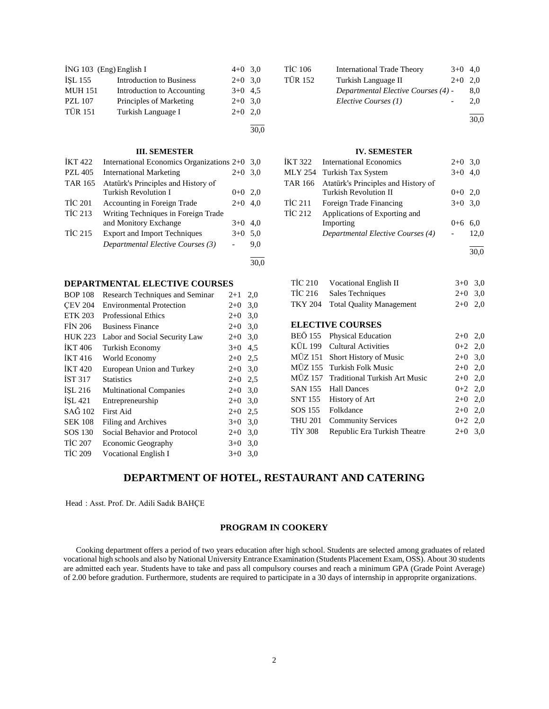| ING 103 (Eng) English I |                                 | $4+0$ 3,0 |  |
|-------------------------|---------------------------------|-----------|--|
| <b>ISL 155</b>          | <b>Introduction to Business</b> | $2+0$ 3,0 |  |
| <b>MUH 151</b>          | Introduction to Accounting      | $3+0$ 4.5 |  |
| <b>PZL 107</b>          | Principles of Marketing         | $2+0$ 3,0 |  |
| <b>TÜR 151</b>          | Turkish Language I              | $2+0$ 2.0 |  |
|                         |                                 |           |  |

#### **III. SEMESTER**

| <b>İKT422</b>  | International Economics Organizations 2+0 |         | 3.0 |
|----------------|-------------------------------------------|---------|-----|
| <b>PZL 405</b> | <b>International Marketing</b>            | $2+0$   | 3.0 |
| <b>TAR 165</b> | Atatürk's Principles and History of       |         |     |
|                | <b>Turkish Revolution I</b>               | $0 + 0$ | 2.0 |
| <b>TİC 201</b> | Accounting in Foreign Trade               | $2+0$   | 4.0 |
| <b>TİC 213</b> | Writing Techniques in Foreign Trade       |         |     |
|                | and Monitory Exchange                     | $3+0$   | 4.0 |
| <b>TİC 215</b> | <b>Export and Import Techniques</b>       | $3+0$   | 5,0 |
|                | Departmental Elective Courses (3)         |         | 9.0 |
|                |                                           |         |     |

#### **DEPARTMENTAL ELECTIVE COURSES**

| <b>BOP 108</b>     | Research Techniques and Seminar | $2 + 1$ | 2,0 |
|--------------------|---------------------------------|---------|-----|
| <b>CEV 204</b>     | <b>Environmental Protection</b> | $2+0$   | 3,0 |
| <b>ETK 203</b>     | <b>Professional Ethics</b>      | $2+0$   | 3,0 |
| <b>FIN 206</b>     | <b>Business Finance</b>         | $2+0$   | 3,0 |
| <b>HUK 223</b>     | Labor and Social Security Law   | $2+0$   | 3,0 |
| <b>IKT406</b>      | Turkish Economy                 | $3+0$   | 4,5 |
| <b>IKT416</b>      | World Economy                   | $2+0$   | 2,5 |
| <b>IKT420</b>      | European Union and Turkey       | $2+0$   | 3,0 |
| IST 317            | <b>Statistics</b>               | $2+0$   | 2.5 |
| ISL216             | <b>Multinational Companies</b>  | $2+0$   | 3,0 |
| ISL <sub>421</sub> | Entrepreneurship                | $2+0$   | 3,0 |
| SAĞ 102            | <b>First Aid</b>                | $2+0$   | 2,5 |
| <b>SEK 108</b>     | Filing and Archives             | $3+0$   | 3,0 |
| SOS 130            | Social Behavior and Protocol    | $2+0$   | 3,0 |
| <b>TİC 207</b>     | Economic Geography              | $3+0$   | 3,0 |
| <b>TİC 209</b>     | <b>Vocational English I</b>     | $3+0$   | 3,0 |

| <b>TİC 106</b> | <b>International Trade Theory</b>   | $3+0$ 4.0 |      |
|----------------|-------------------------------------|-----------|------|
| <b>TÜR 152</b> | Turkish Language II                 | $2+0$ 2,0 |      |
|                | Departmental Elective Courses (4) - |           | 8,0  |
|                | Elective Courses (1)                |           | 2.0  |
|                |                                     |           | 30,0 |

#### **IV. SEMESTER**

|         | IKT 322 International Economics             | $2+0$ 3.0 |      |
|---------|---------------------------------------------|-----------|------|
|         | MLY 254 Turkish Tax System                  | $3+0$ 4.0 |      |
|         | TAR 166 Atatürk's Principles and History of |           |      |
|         | <b>Turkish Revolution II</b>                | $0+0$ 2,0 |      |
| TÌC 211 | Foreign Trade Financing                     | $3+0$ 3.0 |      |
| TİC 212 | Applications of Exporting and               |           |      |
|         | Importing                                   | $0 + 6$   | 6.0  |
|         | Departmental Elective Courses (4)           |           | 12.0 |
|         |                                             |           |      |

30,0

| TİC 210 | Vocational English II            | $3+0$ 3.0 |  |
|---------|----------------------------------|-----------|--|
|         | TİC 216 Sales Techniques         | $2+0$ 3.0 |  |
|         | TKY 204 Total Quality Management | $2+0$ 2.0 |  |

#### **ELECTIVE COURSES**

|                | BEÖ 155 Physical Education            | $2+0$ 2,0 |  |
|----------------|---------------------------------------|-----------|--|
|                | KÜL 199 Cultural Activities           | $0+2$ 2,0 |  |
|                | MÜZ 151 Short History of Music        | $2+0$ 3,0 |  |
|                | MÜZ 155 Turkish Folk Music            | $2+0$ 2,0 |  |
|                | MÜZ 157 Traditional Turkish Art Music | $2+0$ 2,0 |  |
|                | SAN 155 Hall Dances                   | $0+2$ 2,0 |  |
|                | SNT 155 History of Art                | $2+0$ 2,0 |  |
|                | SOS 155 Folkdance                     | $2+0$ 2,0 |  |
|                | THU 201 Community Services            | $0+2$ 2,0 |  |
| <b>TIY 308</b> | Republic Era Turkish Theatre          | $2+0$ 3,0 |  |
|                |                                       |           |  |

# **DEPARTMENT OF HOTEL, RESTAURANT AND CATERING**

30,0

30,0

Head : Asst. Prof. Dr. Adili Sadık BAHÇE

# **PROGRAM IN COOKERY**

 Cooking department offers a period of two years education after high school. Students are selected among graduates of related vocational high schools and also by National University Entrance Examination (Students Placement Exam, OSS). About 30 students are admitted each year. Students have to take and pass all compulsory courses and reach a minimum GPA (Grade Point Average) of 2.00 before gradution. Furthermore, students are required to participate in a 30 days of internship in approprite organizations.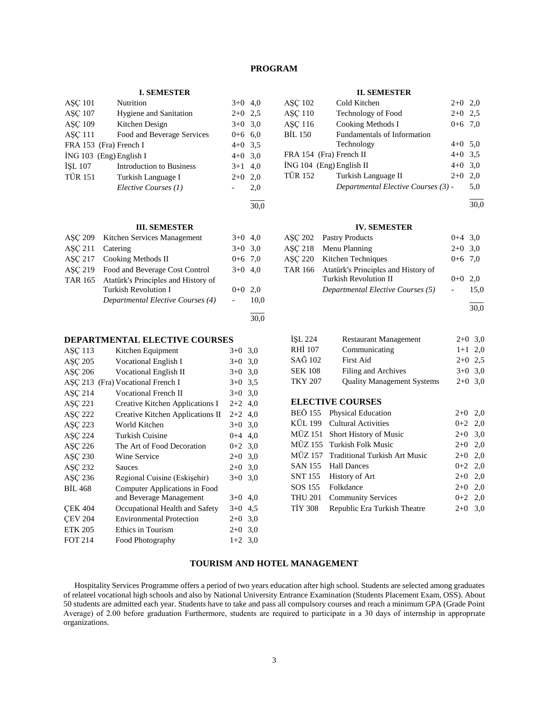# **PROGRAM**

#### **I. SEMESTER**

| <b>ASC 101</b> | Nutrition                       | $3+0$ 4,0 |     |
|----------------|---------------------------------|-----------|-----|
| <b>ASC 107</b> | <b>Hygiene and Sanitation</b>   | $2+0$ 2.5 |     |
| <b>ASC 109</b> | Kitchen Design                  | $3+0$ 3,0 |     |
| <b>ASC 111</b> | Food and Beverage Services      | $0+6$ 6,0 |     |
|                | FRA 153 (Fra) French I          | $4+0$ 3.5 |     |
|                | $ING 103$ (Eng) English I       | $4+0$ 3,0 |     |
| <b>ISL 107</b> | <b>Introduction to Business</b> | $3+1$ 4,0 |     |
| <b>TÜR 151</b> | Turkish Language I              | $2+0$     | 2,0 |
|                | Elective Courses (1)            |           | 2,0 |
|                |                                 |           |     |

30,0

## **III. SEMESTER**

|         | ASC 209 Kitchen Services Management         | $3+0$ 4,0 |      |
|---------|---------------------------------------------|-----------|------|
| ASC 211 | Catering                                    | $3+0$ 3.0 |      |
|         | ASC 217 Cooking Methods II                  | $0+6$ 7.0 |      |
|         | ASC 219 Food and Beverage Cost Control      | $3+0$ 4,0 |      |
|         | TAR 165 Atatürk's Principles and History of |           |      |
|         | <b>Turkish Revolution I</b>                 | $0+0$ 2.0 |      |
|         | Departmental Elective Courses (4)           |           | 10.0 |
|         |                                             |           |      |

#### 30,0

### **DEPARTMENTAL ELECTIVE COURSES**

| ASC 113        | Kitchen Equipment                | $3+0$     | 3,0 |
|----------------|----------------------------------|-----------|-----|
| ASC 205        | Vocational English I             | $3+0$     | 3,0 |
| ASC 206        | <b>Vocational English II</b>     | $3+0$     | 3,0 |
| ASC 213        | (Fra) Vocational French I        | $3+0$     | 3.5 |
| <b>ASC 214</b> | Vocational French II             | $3+0$     | 3,0 |
| <b>ASC 221</b> | Creative Kitchen Applications I  | $2+2$     | 4.0 |
| ASC 222        | Creative Kitchen Applications II | $2+2$ 4,0 |     |
| ASC 223        | World Kitchen                    | $3+0$     | 3,0 |
| <b>ASC 224</b> | Turkish Cuisine                  | $0 + 4$   | 4,0 |
| ASC 226        | The Art of Food Decoration       | $0+2$ 3.0 |     |
| ASC 230        | <b>Wine Service</b>              | $2+0$     | 3,0 |
| ASC 232        | Sauces                           | $2+0$     | 3,0 |
| ASC 236        | Regional Cuisine (Eskişehir)     | $3+0$     | 3,0 |
| <b>BIL 468</b> | Computer Applications in Food    |           |     |
|                | and Beverage Management          | $3+0$     | 4,0 |
| <b>CEK 404</b> | Occupational Health and Safety   | $3+0$     | 4,5 |
| <b>CEV 204</b> | <b>Environmental Protection</b>  | $2+0$     | 3,0 |
| <b>ETK 205</b> | Ethics in Tourism                | $2+0$     | 3,0 |
| <b>FOT 214</b> | Food Photography                 | $1+2$ 3,0 |     |

#### **II. SEMESTER**

| ASC 102        | Cold Kitchen                        | $2+0$ 2,0 |     |
|----------------|-------------------------------------|-----------|-----|
| <b>ASC 110</b> | <b>Technology of Food</b>           | $2+0$ 2.5 |     |
| ASC 116        | Cooking Methods I                   | $0+6$ 7,0 |     |
| <b>BİL 150</b> | Fundamentals of Information         |           |     |
|                | Technology                          | $4+0$ 5.0 |     |
|                | FRA 154 (Fra) French II             | $4+0$ 3.5 |     |
|                | İNG 104 (Eng) English II            | $4+0$ 3,0 |     |
| TÜR 152        | Turkish Language II                 | $2+0$     | 2.0 |
|                | Departmental Elective Courses (3) - |           | 5,0 |

l 30,0

#### **IV. SEMESTER**

| ASC 202 Pastry Products                     | $0+4$ 3.0 |      |
|---------------------------------------------|-----------|------|
| ASC 218 Menu Planning                       | $2+0$ 3.0 |      |
| ASC 220 Kitchen Techniques                  | $0+6$ 7.0 |      |
| TAR 166 Atatürk's Principles and History of |           |      |
| <b>Turkish Revolution II</b>                | $0+0$ 2.0 |      |
| Departmental Elective Courses (5)           |           | 15,0 |

l 30,0

| ISL 224        | <b>Restaurant Management</b>      | $2+0$ 3,0 |  |
|----------------|-----------------------------------|-----------|--|
| <b>RHİ 107</b> | Communicating                     | $1+1$ 2,0 |  |
| SAĞ 102        | <b>First Aid</b>                  | $2+0$ 2.5 |  |
| <b>SEK 108</b> | Filing and Archives               | $3+0$ 3,0 |  |
| <b>TKY 207</b> | <b>Quality Management Systems</b> | $2+0$ 3,0 |  |

#### **ELECTIVE COURSES**

|         | BEÖ 155 Physical Education            | $2+0$ 2,0 |  |
|---------|---------------------------------------|-----------|--|
|         | KÜL 199 Cultural Activities           | $0+2$ 2,0 |  |
|         | MÜZ 151 Short History of Music        | $2+0$ 3,0 |  |
|         | MÜZ 155 Turkish Folk Music            | $2+0$ 2,0 |  |
|         | MÜZ 157 Traditional Turkish Art Music | $2+0$ 2,0 |  |
|         | SAN 155 Hall Dances                   | $0+2$ 2,0 |  |
|         | SNT 155 History of Art                | $2+0$ 2,0 |  |
|         | SOS 155 Folkdance                     | $2+0$ 2,0 |  |
|         | THU 201 Community Services            | $0+2$ 2.0 |  |
| TIY 308 | Republic Era Turkish Theatre          | $2+0$ 3,0 |  |

# **TOURISM AND HOTEL MANAGEMENT**

 Hospitality Services Programme offers a period of two years education after high school. Students are selected among graduates of relateel vocational high schools and also by National University Entrance Examination (Students Placement Exam, OSS). About 50 students are admitted each year. Students have to take and pass all compulsory courses and reach a minimum GPA (Grade Point Average) of 2.00 before graduation Furthermore, students are required to participate in a 30 days of internship in approprıate organizations.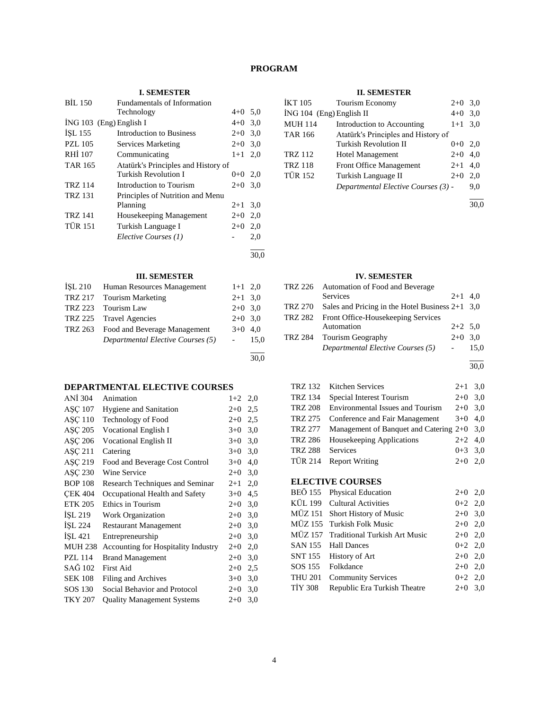# **PROGRAM**

30,0

### **I. SEMESTER**

| <b>BIL 150</b> | <b>Fundamentals of Information</b>  |           |      |
|----------------|-------------------------------------|-----------|------|
|                | Technology                          | $4+0$ 5.0 |      |
|                | $ING 103$ (Eng) English I           | $4+0$ 3,0 |      |
| ISL 155        | Introduction to Business            | $2+0$ 3.0 |      |
| <b>PZL 105</b> | Services Marketing                  | $2+0$ 3.0 |      |
| RHI 107        | Communicating                       | $1+1$ 2,0 |      |
| <b>TAR 165</b> | Atatürk's Principles and History of |           |      |
|                | <b>Turkish Revolution I</b>         | $0+0$ 2,0 |      |
| <b>TRZ 114</b> | Introduction to Tourism             | $2+0$     | 3,0  |
| <b>TRZ 131</b> | Principles of Nutrition and Menu    |           |      |
|                | Planning                            | $2 + 1$   | 3.0  |
| <b>TRZ 141</b> | Housekeeping Management             | $2+0$ 2,0 |      |
| <b>TÜR 151</b> | Turkish Language I                  | $2+0$ 2,0 |      |
|                | Elective Courses (1)                |           | 2,0  |
|                |                                     |           | 30,0 |

# **III. SEMESTER**

| <b>İSL 210</b> | Human Resources Management           | $1+1$ 2,0              |      |
|----------------|--------------------------------------|------------------------|------|
|                | TRZ 217 Tourism Marketing            | $2+1$ 3.0              |      |
| TRZ 223        | Tourism Law                          | $2+0$ 3.0              |      |
|                | TRZ 225 Travel Agencies              | $2+0$ 3.0              |      |
|                | TRZ 263 Food and Beverage Management | $3+0$ 4.0              |      |
|                | Departmental Elective Courses (5)    | $\Delta \sim 10^{-11}$ | 15,0 |
|                |                                      |                        |      |

# **DEPARTMENTAL ELECTIVE COURSES**

| ANI 304        | Animation                           | $1+2$   | 2,0 |
|----------------|-------------------------------------|---------|-----|
| ASC 107        | <b>Hygiene and Sanitation</b>       | $2+0$   | 2,5 |
| <b>ASC 110</b> | Technology of Food                  | $2+0$   | 2,5 |
| ASC 205        | Vocational English I                | $3+0$   | 3,0 |
| ASC 206        | <b>Vocational English II</b>        | $3+0$   | 3,0 |
| ASC 211        | Catering                            | $3+0$   | 3,0 |
| ASC 219        | Food and Beverage Cost Control      | $3+0$   | 4,0 |
| ASC 230        | <b>Wine Service</b>                 | $2+0$   | 3,0 |
| <b>BOP 108</b> | Research Techniques and Seminar     | $2 + 1$ | 2,0 |
| <b>CEK 404</b> | Occupational Health and Safety      | $3+0$   | 4,5 |
| <b>ETK 205</b> | Ethics in Tourism                   | $2+0$   | 3,0 |
| ISL 219        | Work Organization                   | $2+0$   | 3,0 |
| ISL 224        | <b>Restaurant Management</b>        | $2+0$   | 3,0 |
| İŞL 421        | Entrepreneurship                    | $2+0$   | 3,0 |
| <b>MUH 238</b> | Accounting for Hospitality Industry | $2+0$   | 2,0 |
| <b>PZL 114</b> | <b>Brand Management</b>             | $2+0$   | 3,0 |
| SAĞ 102        | First Aid                           | $2+0$   | 2,5 |
| <b>SEK 108</b> | Filing and Archives                 | $3+0$   | 3,0 |
| SOS 130        | Social Behavior and Protocol        | $2+0$   | 3,0 |
| <b>TKY 207</b> | <b>Quality Management Systems</b>   | $2+0$   | 3,0 |
|                |                                     |         |     |

#### **II. SEMESTER**

| İKT 105                  | Tourism Economy                     | $2+0$   | 3,0 |
|--------------------------|-------------------------------------|---------|-----|
| İNG 104 (Eng) English II | $4 + 0$                             | 3,0     |     |
| <b>MUH 114</b>           | Introduction to Accounting          |         |     |
| <b>TAR 166</b>           | Atatürk's Principles and History of |         |     |
|                          | Turkish Revolution II               | $0 + 0$ | 2,0 |
| <b>TRZ 112</b>           | <b>Hotel Management</b>             | $2+0$   | 4,0 |
| <b>TRZ 118</b>           | <b>Front Office Management</b>      | $2+1$   | 4.0 |
| <b>TÜR 152</b>           | Turkish Language II                 | $2+0$   | 2,0 |
|                          | Departmental Elective Courses (3) - |         | 9,0 |
|                          |                                     |         |     |

30,0

#### **IV. SEMESTER**

| TRZ 226        | Automation of Food and Beverage                   |           |      |
|----------------|---------------------------------------------------|-----------|------|
|                | <b>Services</b>                                   | $2+1$ 4.0 |      |
| <b>TRZ 270</b> | Sales and Pricing in the Hotel Business $2+1$ 3,0 |           |      |
|                | TRZ 282 Front Office-Housekeeping Services        |           |      |
|                | Automation                                        | $2+2$ 5,0 |      |
|                | TRZ 284 Tourism Geography                         | $2+0$ 3.0 |      |
|                | Departmental Elective Courses (5)                 |           | 15.0 |
|                |                                                   |           |      |

30,0

|         | TRZ 132 Kitchen Services                     | $2+1$ 3,0 |  |
|---------|----------------------------------------------|-----------|--|
| TRZ 134 | Special Interest Tourism                     | $2+0$ 3,0 |  |
| TRZ 208 | <b>Environmental Issues and Tourism</b>      | $2+0$ 3.0 |  |
| TRZ 275 | Conference and Fair Management               | $3+0$ 4.0 |  |
| TRZ 277 | Management of Banquet and Catering $2+0$ 3,0 |           |  |
| TRZ 286 | Housekeeping Applications                    | $2+2$ 4,0 |  |
| TRZ 288 | Services                                     | $0+3$ 3.0 |  |
| TÜR 214 | <b>Report Writing</b>                        | $2+0$ 2.0 |  |
|         |                                              |           |  |

# **ELECTIVE COURSES**

|         | BEÖ 155 Physical Education            | $2+0$ 2,0 |  |
|---------|---------------------------------------|-----------|--|
|         | KÜL 199 Cultural Activities           | $0+2$ 2,0 |  |
|         | MÜZ 151 Short History of Music        | $2+0$ 3,0 |  |
|         | MÜZ 155 Turkish Folk Music            | $2+0$ 2,0 |  |
|         | MÜZ 157 Traditional Turkish Art Music | $2+0$ 2,0 |  |
|         | SAN 155 Hall Dances                   | $0+2$ 2,0 |  |
|         | SNT 155 History of Art                | $2+0$ 2,0 |  |
|         | SOS 155 Folkdance                     | $2+0$ 2,0 |  |
|         | THU 201 Community Services            | $0+2$ 2,0 |  |
| TİY 308 | Republic Era Turkish Theatre          | $2+0$ 3,0 |  |
|         |                                       |           |  |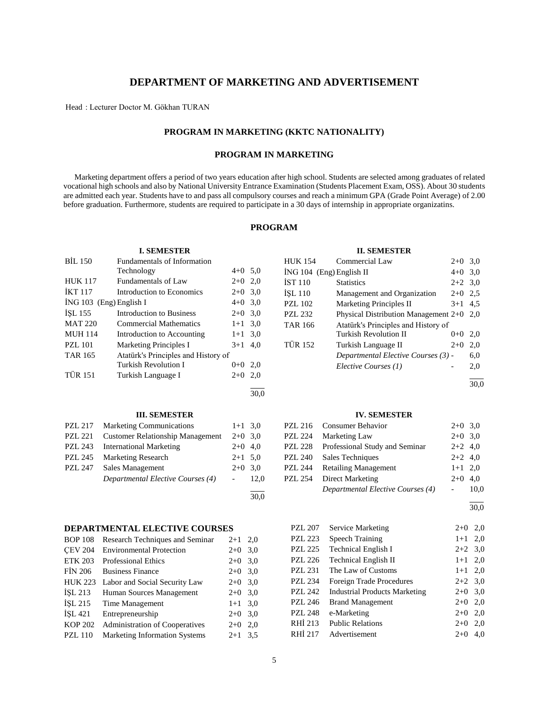# **DEPARTMENT OF MARKETING AND ADVERTISEMENT**

Head : Lecturer Doctor M. Gökhan TURAN

# **PROGRAM IN MARKETING (KKTC NATIONALITY)**

# **PROGRAM IN MARKETING**

 Marketing department offers a period of two years education after high school. Students are selected among graduates of related vocational high schools and also by National University Entrance Examination (Students Placement Exam, OSS). About 30 students are admitted each year. Students have to and pass all compulsory courses and reach a minimum GPA (Grade Point Average) of 2.00 before graduation. Furthermore, students are required to participate in a 30 days of internship in appropriate organizatins.

# **PROGRAM**

|                | <b>I. SEMESTER</b>                      |                |      |                | <b>II. SEMESTER</b>                        |                          |           |
|----------------|-----------------------------------------|----------------|------|----------------|--------------------------------------------|--------------------------|-----------|
| <b>BIL 150</b> | Fundamentals of Information             |                |      | <b>HUK 154</b> | Commercial Law                             | $2+0$ 3,0                |           |
|                | Technology                              | $4+0$ 5,0      |      |                | İNG 104 (Eng) English II                   | $4 + 0$                  | 3,0       |
| <b>HUK 117</b> | <b>Fundamentals of Law</b>              | $2+0$          | 2,0  | IST110         | <b>Statistics</b>                          | $2 + 2$                  | 3,0       |
| <b>IKT 117</b> | Introduction to Economics               | $2+0$          | 3,0  | İŞL 110        | Management and Organization                | $2 + 0$                  | 2,5       |
|                | İNG 103 (Eng) English I                 | $4 + 0$        | 3,0  | <b>PZL 102</b> | Marketing Principles II                    | $3+1$ 4.5                |           |
| ISL 155        | <b>Introduction to Business</b>         | $2 + 0$        | 3,0  | <b>PZL 232</b> | Physical Distribution Management $2+0$ 2,0 |                          |           |
| <b>MAT 220</b> | <b>Commercial Mathematics</b>           | $1 + 1$        | 3,0  | <b>TAR 166</b> | Atatürk's Principles and History of        |                          |           |
| <b>MUH 114</b> | Introduction to Accounting              | $1 + 1$        | 3,0  |                | Turkish Revolution II                      | $0+0$                    | 2,0       |
| <b>PZL 101</b> | <b>Marketing Principles I</b>           | $3 + 1$        | 4,0  | <b>TÜR 152</b> | Turkish Language II                        | $2+0$                    | 2,0       |
| <b>TAR 165</b> | Atatürk's Principles and History of     |                |      |                | Departmental Elective Courses (3) -        |                          | 6,0       |
|                | <b>Turkish Revolution I</b>             | $0+0$ 2,0      |      |                | Elective Courses (1)                       |                          | 2,0       |
| <b>TÜR 151</b> | Turkish Language I                      | $2+0$          | 2,0  |                |                                            |                          |           |
|                |                                         |                |      |                |                                            |                          | 30,0      |
|                |                                         |                | 30,0 |                |                                            |                          |           |
|                | <b>III. SEMESTER</b>                    |                |      |                | <b>IV. SEMESTER</b>                        |                          |           |
| <b>PZL 217</b> | <b>Marketing Communications</b>         | $1 + 1$        | 3,0  | <b>PZL 216</b> | <b>Consumer Behavior</b>                   | $2+0$ 3,0                |           |
| <b>PZL 221</b> | <b>Customer Relationship Management</b> | $2+0$          | 3,0  | <b>PZL 224</b> | Marketing Law                              | $2 + 0$                  | 3,0       |
| <b>PZL 243</b> | <b>International Marketing</b>          | $2+0$ 4,0      |      | <b>PZL 228</b> | Professional Study and Seminar             | $2 + 2$                  | 4,0       |
| <b>PZL 245</b> | Marketing Research                      | $2+1$ 5.0      |      | <b>PZL 240</b> | Sales Techniques                           | $2+2$ 4,0                |           |
| <b>PZL 247</b> | Sales Management                        | $2+0$ 3,0      |      | <b>PZL 244</b> | <b>Retailing Management</b>                | $1 + 1$                  | 2,0       |
|                | Departmental Elective Courses (4)       | $\blacksquare$ | 12,0 | <b>PZL 254</b> | <b>Direct Marketing</b>                    | $2+0$ 4,0                |           |
|                |                                         |                |      |                | Departmental Elective Courses (4)          | $\overline{\phantom{0}}$ | 10,0      |
|                |                                         |                | 30,0 |                |                                            |                          |           |
|                |                                         |                |      |                |                                            |                          | 30,0      |
|                | <b>DEPARTMENTAL ELECTIVE COURSES</b>    |                |      | <b>PZL 207</b> | <b>Service Marketing</b>                   |                          | $2+0$ 2,0 |
| <b>BOP 108</b> | Research Techniques and Seminar         | $2 + 1$        | 2,0  | <b>PZL 223</b> | <b>Speech Training</b>                     | $1 + 1$                  | 2,0       |
| <b>CEV 204</b> | <b>Environmental Protection</b>         | $2+0$ 3,0      |      | <b>PZL 225</b> | Technical English I                        | $2 + 2$                  | 3,0       |
| <b>ETK 203</b> | <b>Professional Ethics</b>              | $2+0$ 3,0      |      | <b>PZL 226</b> | <b>Technical English II</b>                |                          | $1+1$ 2,0 |
| <b>FIN 206</b> | <b>Business Finance</b>                 | $2+0$          | 3,0  | <b>PZL 231</b> | The Law of Customs                         |                          | $1+1$ 2,0 |
| <b>HUK 223</b> | Labor and Social Security Law           | $2+0$          | 3,0  | <b>PZL 234</b> | Foreign Trade Procedures                   | $2 + 2$                  | 3,0       |
| İŞL 213        | Human Sources Management                | $2 + 0$        | 3,0  | <b>PZL 242</b> | <b>Industrial Products Marketing</b>       | $2+0$                    | 3,0       |
| İŞL 215        | Time Management                         | $1+1$          | 3,0  | <b>PZL 246</b> | <b>Brand Management</b>                    | $2 + 0$                  | 2,0       |
| İŞL 421        | Entrepreneurship                        | $2+0$ 3,0      |      | <b>PZL 248</b> | e-Marketing                                |                          | $2+0$ 2,0 |

RHİ 213 Public Relations 2+0 2,0 RHİ 217 Advertisement 2+0 4,0

KOP 202 Administration of Cooperatives 2+0 2,0 PZL 110 Marketing Information Systems 2+1 3,5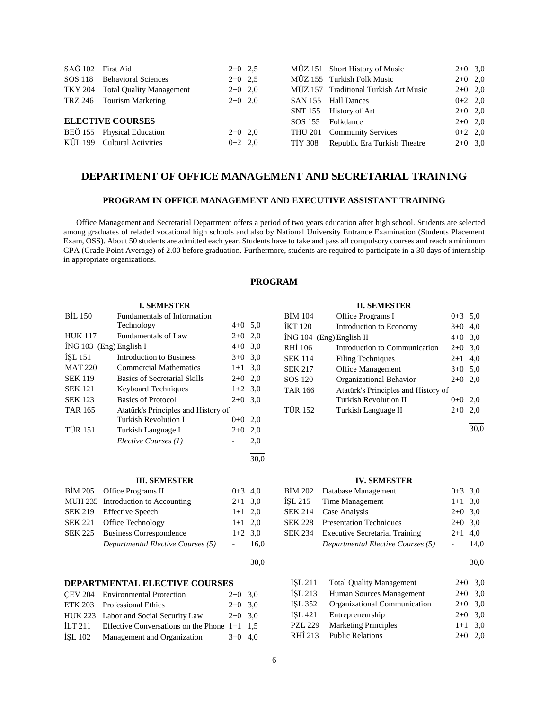| SAĞ 102 First Aid       |                                  | $2+0$ 2.5 |  | MÜZ 151 Short History of Music        | $2+0$ 3,0 |  |
|-------------------------|----------------------------------|-----------|--|---------------------------------------|-----------|--|
|                         | SOS 118 Behavioral Sciences      | $2+0$ 2.5 |  | MÜZ 155 Turkish Folk Music            | $2+0$ 2,0 |  |
|                         | TKY 204 Total Quality Management | $2+0$ 2,0 |  | MÜZ 157 Traditional Turkish Art Music | $2+0$ 2,0 |  |
|                         | TRZ 246 Tourism Marketing        | $2+0$ 2,0 |  | SAN 155 Hall Dances                   | $0+2$ 2,0 |  |
|                         |                                  |           |  | SNT 155 History of Art                | $2+0$ 2,0 |  |
| <b>ELECTIVE COURSES</b> |                                  |           |  | SOS 155 Folkdance                     | $2+0$ 2,0 |  |
|                         | BEÖ 155 Physical Education       | $2+0$ 2,0 |  | THU 201 Community Services            | $0+2$ 2,0 |  |
|                         | KÜL 199 Cultural Activities      | $0+2$ 2,0 |  | TİY 308 Republic Era Turkish Theatre  | $2+0$ 3,0 |  |

# **DEPARTMENT OF OFFICE MANAGEMENT AND SECRETARIAL TRAINING**

#### **PROGRAM IN OFFICE MANAGEMENT AND EXECUTIVE ASSISTANT TRAINING**

 Office Management and Secretarial Department offers a period of two years education after high school. Students are selected among graduates of reladed vocational high schools and also by National University Entrance Examination (Students Placement Exam, OSS). About 50 students are admitted each year. Students have to take and pass all compulsory courses and reach a minimum GPA (Grade Point Average) of 2.00 before graduation. Furthermore, students are required to participate in a 30 days of internship in appropriate organizations.

# **PROGRAM**

30,0

30,0

#### **I. SEMESTER**

| <b>BIL 150</b>            | Fundamentals of Information         |           |     |
|---------------------------|-------------------------------------|-----------|-----|
|                           | Technology                          | $4 + 0$   | 5,0 |
| <b>HUK 117</b>            | Fundamentals of Law                 | $2+0$     | 2,0 |
| $ING 103$ (Eng) English I |                                     | $4 + 0$   | 3,0 |
| ISL 151                   | <b>Introduction to Business</b>     | $3+0$ 3.0 |     |
| <b>MAT 220</b>            | <b>Commercial Mathematics</b>       | $1 + 1$   | 3,0 |
| <b>SEK 119</b>            | Basics of Secretarial Skills        | $2+0$     | 2,0 |
| <b>SEK 121</b>            | <b>Keyboard Techniques</b>          | $1+2$ 3.0 |     |
| <b>SEK 123</b>            | <b>Basics of Protocol</b>           | $2+0$     | 3,0 |
| <b>TAR 165</b>            | Atatürk's Principles and History of |           |     |
|                           | Turkish Revolution I                | $0 + 0$   | 2,0 |
| <b>TÜR 151</b>            | Turkish Language I                  | $2+0$     | 2,0 |
|                           | Elective Courses (1)                |           | 2,0 |
|                           |                                     |           |     |

#### **III. SEMESTER**

| BIM 205 Office Programs II         | $0+3$ 4,0           |      |
|------------------------------------|---------------------|------|
| MUH 235 Introduction to Accounting | $2+1$ 3.0           |      |
| SEK 219 Effective Speech           | $1+1$ 2,0           |      |
| SEK 221 Office Technology          | $1+1$ 2,0           |      |
| SEK 225 Business Correspondence    | $1+2$ 3.0           |      |
| Departmental Elective Courses (5)  | $\omega_{\rm{max}}$ | 16.0 |
|                                    |                     |      |

# **DEPARTMENTAL ELECTIVE COURSES**

|           | CEV 204 Environmental Protection               | $2+0$ 3.0 |  |
|-----------|------------------------------------------------|-----------|--|
|           | ETK 203 Professional Ethics                    | $2+0$ 3.0 |  |
|           | HUK 223 Labor and Social Security Law          | $2+0$ 3.0 |  |
| ILT $211$ | Effective Conversations on the Phone $1+1$ 1,5 |           |  |
| ISL 102   | Management and Organization                    | $3+0$ 4.0 |  |
|           |                                                |           |  |

#### **II. SEMESTER**

| <b>BİM 104</b> | Office Programs I                   | $0+3$ 5.0 |     |
|----------------|-------------------------------------|-----------|-----|
| <b>IKT 120</b> | Introduction to Economy             | $3+0$     | 4,0 |
|                | $ING 104$ (Eng) English II          | $4+0$ 3,0 |     |
| RHI 106        | Introduction to Communication       | $2+0$     | 3,0 |
| <b>SEK 114</b> | <b>Filing Techniques</b>            | $2+1$     | 4,0 |
| <b>SEK 217</b> | <b>Office Management</b>            | $3+0$ 5,0 |     |
| SOS 120        | Organizational Behavior             | $2+0$     | 2,0 |
| <b>TAR 166</b> | Atatürk's Principles and History of |           |     |
|                | Turkish Revolution II               | $0+0$     | 2,0 |
| <b>TÜR 152</b> | Turkish Language II                 | $2+0$     | 2,0 |
|                |                                     |           |     |

 $\frac{1}{30.0}$ 

#### **IV. SEMESTER**

|                | BIM 202 Database Management            | $0+3$ 3.0 |      |
|----------------|----------------------------------------|-----------|------|
|                | ISL 215 Time Management                | $1+1$ 3.0 |      |
|                | SEK 214 Case Analysis                  | $2+0$ 3,0 |      |
|                | <b>SEK 228</b> Presentation Techniques | $2+0$ 3,0 |      |
| <b>SEK 234</b> | <b>Executive Secretarial Training</b>  | $2+1$ 4,0 |      |
|                | Departmental Elective Courses (5)      |           | 14,0 |
|                |                                        |           |      |
|                |                                        |           | 30,0 |

İŞL 211 Total Quality Management 2+0 3,0 İŞL 213 Human Sources Management 2+0 3,0 İŞL 352 Organizational Communication 2+0 3,0 İŞL 421 Entrepreneurship 2+0 3,0 PZL 229 Marketing Principles 1+1 3,0 RHİ 213 Public Relations 2+0 2,0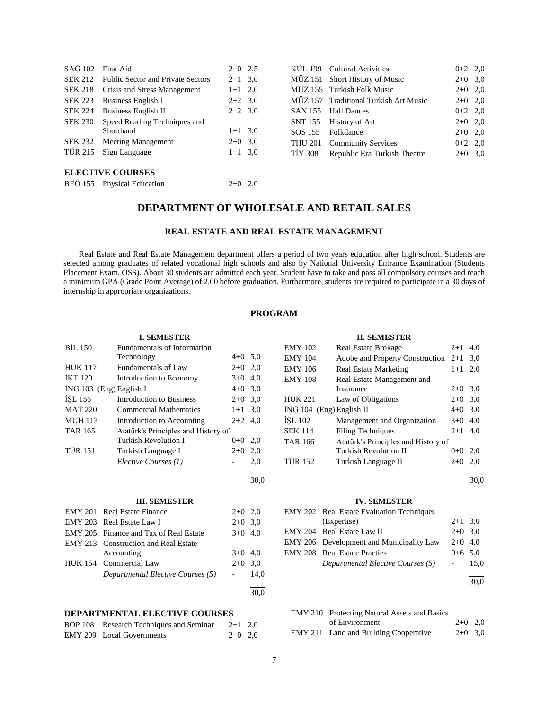| SAĞ 102 First Aid |                                           | $2+0$ 2.5 |                | KÜL 199 Cultural Activities           | $0+2$ 2,0 |  |
|-------------------|-------------------------------------------|-----------|----------------|---------------------------------------|-----------|--|
|                   | SEK 212 Public Sector and Private Sectors | $2+1$ 3.0 |                | MÜZ 151 Short History of Music        | $2+0$ 3,0 |  |
|                   | SEK 218 Crisis and Stress Management      | $1+1$ 2,0 |                | MÜZ 155 Turkish Folk Music            | $2+0$ 2,0 |  |
| SEK 223           | Business English I                        | $2+2$ 3.0 |                | MÜZ 157 Traditional Turkish Art Music | $2+0$ 2,0 |  |
| SEK 224           | <b>Business English II</b>                | $2+2$ 3.0 | SAN 155        | <b>Hall Dances</b>                    | $0+2$ 2,0 |  |
| <b>SEK 230</b>    | Speed Reading Techniques and              |           | SNT 155        | History of Art                        | $2+0$ 2,0 |  |
|                   | Shorthand                                 | $1+1$ 3.0 | SOS 155        | Folkdance                             | $2+0$ 2,0 |  |
| <b>SEK 232</b>    | <b>Meeting Management</b>                 | $2+0$ 3,0 | <b>THU 201</b> | <b>Community Services</b>             | $0+2$ 2,0 |  |
| TÜR 215           | Sign Language                             | $1+1$ 3,0 | <b>TIY 308</b> | Republic Era Turkish Theatre          | $2+0$ 3,0 |  |
|                   |                                           |           |                |                                       |           |  |

# **ELECTIVE COURSES**

|  | BEÖ 155 Physical Education | $2+0$ 2,0 |  |
|--|----------------------------|-----------|--|
|--|----------------------------|-----------|--|

# **DEPARTMENT OF WHOLESALE AND RETAIL SALES**

# **REAL ESTATE AND REAL ESTATE MANAGEMENT**

 Real Estate and Real Estate Management department offers a period of two years education after high school. Students are selected among graduates of related vocational high schools and also by National University Entrance Examination (Students Placement Exam, OSS). About 30 students are admitted each year. Student have to take and pass all compulsory courses and reach a minimum GPA (Grade Point Average) of 2.00 before graduation. Furthermore, students are required to participate in a 30 days of internship in appropriate organizations.

# **PROGRAM**

# **I. SEMESTER**

| <b>BIL 150</b> | Fundamentals of Information         |           |      |
|----------------|-------------------------------------|-----------|------|
|                | Technology                          | $4+0$ 5,0 |      |
| <b>HUK 117</b> | <b>Fundamentals of Law</b>          | $2+0$ 2,0 |      |
| <b>IKT 120</b> | Introduction to Economy             | $3+0$     | 4,0  |
|                | $ING 103$ (Eng) English I           | $4 + 0$   | 3,0  |
| ISL 155        | Introduction to Business            | $2+0$     | 3,0  |
| <b>MAT 220</b> | <b>Commercial Mathematics</b>       | $1 + 1$   | 3,0  |
| <b>MUH 113</b> | Introduction to Accounting          | $2+2$     | 4,0  |
| <b>TAR 165</b> | Atatürk's Principles and History of |           |      |
|                | Turkish Revolution I                | $0 + 0$   | 2,0  |
| TÜR 151        | Turkish Language I                  | $2+0$     | 2,0  |
|                | Elective Courses (1)                |           | 2,0  |
|                |                                     |           | 30,0 |
|                | <b>III. SEMESTER</b>                |           |      |
| <b>EMY 201</b> | <b>Real Estate Finance</b>          | $2+0$ 2,0 |      |
| <b>EMY 203</b> | Real Estate Law I                   | $2+0$ 3,0 |      |
| <b>EMY 205</b> | Finance and Tax of Real Estate      | $3+0$     | 4,0  |
| <b>EMY 213</b> | <b>Construction and Real Estate</b> |           |      |
|                | Accounting                          | $3+0$ 4.0 |      |

# HUK 154 Commercial Law 2+0 3,0 *Departmental Elective Courses (5)* - 14,0

#### **DEPARTMENTAL ELECTIVE COURSES**

| BOP 108 Research Techniques and Seminar | $2+1$ 2,0 |  |
|-----------------------------------------|-----------|--|
| EMY 209 Local Governments               | $2+0$ 2,0 |  |

#### **II. SEMESTER**

| <b>EMY 102</b>             | <b>Real Estate Brokage</b>            | $2+1$     | 4,0 |
|----------------------------|---------------------------------------|-----------|-----|
| <b>EMY 104</b>             | Adobe and Property Construction $2+1$ |           | 3,0 |
| <b>EMY 106</b>             | <b>Real Estate Marketing</b>          | $1+1$     | 2,0 |
| <b>EMY 108</b>             | Real Estate Management and            |           |     |
|                            | Insurance                             | $2+0$ 3.0 |     |
| <b>HUK 221</b>             | Law of Obligations                    | $2+0$     | 3.0 |
| $ING 104$ (Eng) English II |                                       | $4 + 0$   | 3.0 |
| ISL 102                    | Management and Organization           | $3+0$     | 4.0 |
| <b>SEK 114</b>             | <b>Filing Techniques</b>              | $2 + 1$   | 4.0 |
| TAR 166                    | Atatürk's Principles and History of   |           |     |
|                            | Turkish Revolution II                 | $0 + 0$   | 2.0 |
| <b>TÜR 152</b>             | Turkish Language II                   | $2+0$     | 2,0 |
|                            |                                       |           |     |

30,0

#### **IV. SEMESTER**

| <b>EMY 202</b> Real Estate Evaluation Techniques |                 |      |
|--------------------------------------------------|-----------------|------|
| (Expertise)                                      | $2+1$ 3,0       |      |
| EMY 204 Real Estate Law II                       | $2+0$ 3,0       |      |
| EMY 206 Development and Municipality Law         | $2+0$ 4.0       |      |
| <b>EMY 208</b> Real Estate Practies              | $0+6$ 5.0       |      |
| Departmental Elective Courses (5)                | $\sim 10^{-11}$ | 15.0 |
|                                                  |                 |      |

30,0

| EMY 210 Protecting Natural Assets and Basics |           |  |
|----------------------------------------------|-----------|--|
| of Environment                               | $2+0$ 2.0 |  |
| EMY 211 Land and Building Cooperative        | $2+0$ 3.0 |  |

l 30,0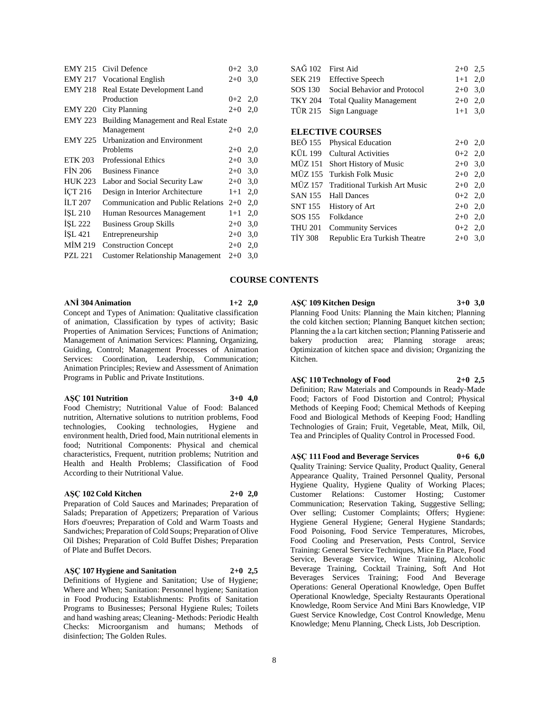| <b>EMY 215</b> | Civil Defence                              | $0 + 2$   | 3,0 |  |  |
|----------------|--------------------------------------------|-----------|-----|--|--|
| <b>EMY 217</b> | <b>Vocational English</b>                  | $2+0$     | 3,0 |  |  |
| <b>EMY 218</b> | Real Estate Development Land               |           |     |  |  |
|                | Production                                 | $0+2$ 2,0 |     |  |  |
| <b>EMY 220</b> | City Planning                              | $2+0$     | 2,0 |  |  |
| <b>EMY 223</b> | <b>Building Management and Real Estate</b> |           |     |  |  |
|                | Management                                 | $2+0$     | 2,0 |  |  |
| <b>EMY 225</b> | <b>Urbanization and Environment</b>        |           |     |  |  |
|                | Problems                                   | $2+0$     | 2,0 |  |  |
| <b>ETK 203</b> | <b>Professional Ethics</b>                 | $2+0$     | 3,0 |  |  |
| <b>FIN 206</b> | <b>Business Finance</b>                    | $2+0$     | 3,0 |  |  |
| <b>HUK 223</b> | Labor and Social Security Law              | $2+0$     | 3,0 |  |  |
| ICT 216        | Design in Interior Architecture            | $1+1$     | 2,0 |  |  |
| ILT 207        | <b>Communication and Public Relations</b>  | $2+0$     | 2,0 |  |  |
| <b>ISL 210</b> | Human Resources Management                 | $1 + 1$   | 2,0 |  |  |
| ISL 222        | <b>Business Group Skills</b>               | $2+0$     | 3,0 |  |  |
| İŞL 421        | Entrepreneurship                           | $2+0$     | 3,0 |  |  |
| MİM 219        | <b>Construction Concept</b>                | $2+0$     | 2,0 |  |  |
| <b>PZL 221</b> | <b>Customer Relationship Management</b>    | $2+0$     | 3,0 |  |  |
|                |                                            |           |     |  |  |

| SAG 102        | First Aid                            | $2+0$     | 2.5 |
|----------------|--------------------------------------|-----------|-----|
| <b>SEK 219</b> | <b>Effective Speech</b>              | $1+1$     | 2,0 |
| SOS 130        | Social Behavior and Protocol         | $2+0$     | 3,0 |
| <b>TKY 204</b> | <b>Total Quality Management</b>      | $2+0$     | 2,0 |
| <b>TÜR 215</b> | Sign Language                        | $1 + 1$   | 3,0 |
|                |                                      |           |     |
|                | <b>ELECTIVE COURSES</b>              |           |     |
| <b>BEÖ 155</b> | <b>Physical Education</b>            | $2+0$     | 2,0 |
| KÜL 199        | <b>Cultural Activities</b>           | $0+2$ 2,0 |     |
|                | MÜZ 151 Short History of Music       | $2+0$ 3,0 |     |
| MÜZ 155        | Turkish Folk Music                   | $2+0$     | 2,0 |
| MÜZ 157        | <b>Traditional Turkish Art Music</b> | $2+0$     | 2,0 |
| <b>SAN 155</b> | <b>Hall Dances</b>                   | $0+2$ 2,0 |     |
| SNT 155        | History of Art                       | $2+0$     | 2,0 |
| SOS 155        | Folkdance                            | $2+0$     | 2,0 |
| <b>THU 201</b> | <b>Community Services</b>            | $0+2$ 2,0 |     |
| <b>TIY 308</b> | Republic Era Turkish Theatre         | $2+0$     | 3,0 |

# **COURSE CONTENTS**

#### **ANİ 304 Animation 1+2 2,0**

Concept and Types of Animation: Qualitative classification of animation, Classification by types of activity; Basic Properties of Animation Services; Functions of Animation; Management of Animation Services: Planning, Organizing, Guiding, Control; Management Processes of Animation Services: Coordination, Leadership, Communication; Animation Principles; Review and Assessment of Animation Programs in Public and Private Institutions.

#### **AŞÇ 101 Nutrition 3+0 4,0**

Food Chemistry; Nutritional Value of Food: Balanced nutrition, Alternative solutions to nutrition problems, Food technologies, Cooking technologies, Hygiene and environment health, Dried food, Main nutritional elements in food; Nutritional Components: Physical and chemical characteristics, Frequent, nutrition problems; Nutrition and Health and Health Problems; Classification of Food According to their Nutritional Value.

#### **AŞÇ 102 Cold Kitchen 2+0 2,0**

Preparation of Cold Sauces and Marinades; Preparation of Salads; Preparation of Appetizers; Preparation of Various Hors d'oeuvres; Preparation of Cold and Warm Toasts and Sandwiches; Preparation of Cold Soups; Preparation of Olive Oil Dishes; Preparation of Cold Buffet Dishes; Preparation of Plate and Buffet Decors.

#### **AŞÇ 107 Hygiene and Sanitation 2+0 2,5**

Definitions of Hygiene and Sanitation; Use of Hygiene; Where and When; Sanitation: Personnel hygiene; Sanitation in Food Producing Establishments: Profits of Sanitation Programs to Businesses; Personal Hygiene Rules; Toilets and hand washing areas; Cleaning- Methods: Periodic Health Checks: Microorganism and humans; Methods of disinfection; The Golden Rules.

# **AŞÇ 109 Kitchen Design 3+0 3,0**

Planning Food Units: Planning the Main kitchen; Planning the cold kitchen section; Planning Banquet kitchen section; Planning the a la cart kitchen section; Planning Patisserie and bakery production area; Planning storage areas; Optimization of kitchen space and division; Organizing the Kitchen.

#### **AŞÇ 110 Technology of Food 2+0 2,5**

Definition; Raw Materials and Compounds in Ready-Made Food; Factors of Food Distortion and Control; Physical Methods of Keeping Food; Chemical Methods of Keeping Food and Biological Methods of Keeping Food; Handling Technologies of Grain; Fruit, Vegetable, Meat, Milk, Oil, Tea and Principles of Quality Control in Processed Food.

#### **AŞÇ 111 Food and Beverage Services 0+6 6,0**

Quality Training: Service Quality, Product Quality, General Appearance Quality, Trained Personnel Quality, Personal Hygiene Quality, Hygiene Quality of Working Places; Customer Relations: Customer Hosting; Customer Communication; Reservation Taking, Suggestive Selling; Over selling; Customer Complaints; Offers; Hygiene: Hygiene General Hygiene; General Hygiene Standards; Food Poisoning, Food Service Temperatures, Microbes, Food Cooling and Preservation, Pests Control, Service Training: General Service Techniques, Mice En Place, Food Service, Beverage Service, Wine Training, Alcoholic Beverage Training, Cocktail Training, Soft And Hot Beverages Services Training; Food And Beverage Operations: General Operational Knowledge, Open Buffet Operational Knowledge, Specialty Restaurants Operational Knowledge, Room Service And Mini Bars Knowledge, VIP Guest Service Knowledge, Cost Control Knowledge, Menu Knowledge; Menu Planning, Check Lists, Job Description.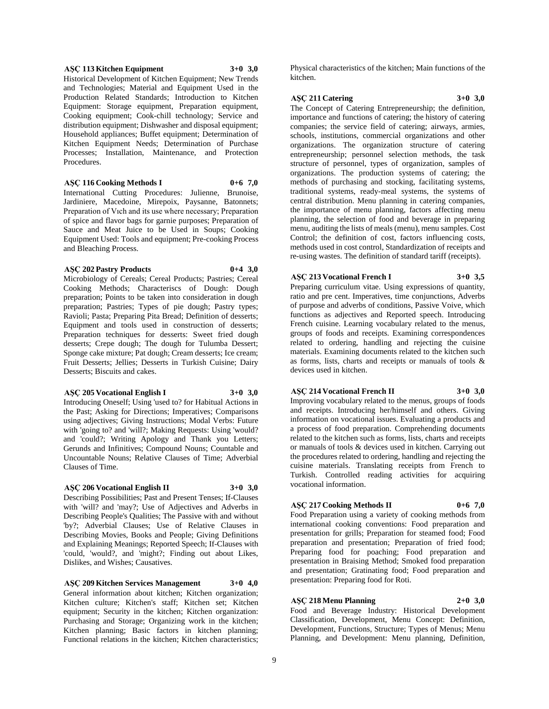#### **AŞÇ 113 Kitchen Equipment 3+0 3,0**

Historical Development of Kitchen Equipment; New Trends and Technologies; Material and Equipment Used in the Production Related Standards; Introduction to Kitchen Equipment: Storage equipment, Preparation equipment, Cooking equipment; Cook-chill technology; Service and distribution equipment; Dishwasher and disposal equipment; Household appliances; Buffet equipment; Determination of Kitchen Equipment Needs; Determination of Purchase Processes; Installation, Maintenance, and Protection Procedures.

**AŞÇ 116 Cooking Methods I 0+6 7,0**

International Cutting Procedures: Julienne, Brunoise, Jardiniere, Macedoine, Mirepoix, Paysanne, Batonnets; Preparation of Vıch and its use where necessary; Preparation of spice and flavor bags for garnie purposes; Preparation of Sauce and Meat Juice to be Used in Soups; Cooking Equipment Used: Tools and equipment; Pre-cooking Process and Bleaching Process.

#### **AŞÇ 202 Pastry Products 0+4 3,0**

Microbiology of Cereals; Cereal Products; Pastries; Cereal Cooking Methods; Characteriscs of Dough: Dough preparation; Points to be taken into consideration in dough preparation; Pastries; Types of pie dough; Pastry types; Ravioli; Pasta; Preparing Pita Bread; Definition of desserts; Equipment and tools used in construction of desserts; Preparation techniques for desserts: Sweet fried dough desserts; Crepe dough; The dough for Tulumba Dessert; Sponge cake mixture; Pat dough; Cream desserts; Ice cream; Fruit Desserts; Jellies; Desserts in Turkish Cuisine; Dairy Desserts; Biscuits and cakes.

#### **AŞÇ 205 Vocational English I 3+0 3,0**

Introducing Oneself; Using 'used to? for Habitual Actions in the Past; Asking for Directions; Imperatives; Comparisons using adjectives; Giving Instructions; Modal Verbs: Future with 'going to? and 'will?; Making Requests: Using 'would? and 'could?; Writing Apology and Thank you Letters; Gerunds and Infinitives; Compound Nouns; Countable and Uncountable Nouns; Relative Clauses of Time; Adverbial Clauses of Time.

# **AŞÇ 206 Vocational English II 3+0 3,0**

Describing Possibilities; Past and Present Tenses; If-Clauses with 'will? and 'may?; Use of Adjectives and Adverbs in Describing People's Qualities; The Passive with and without 'by?; Adverbial Clauses; Use of Relative Clauses in Describing Movies, Books and People; Giving Definitions and Explaining Meanings; Reported Speech; If-Clauses with 'could, 'would?, and 'might?; Finding out about Likes, Dislikes, and Wishes; Causatives.

**AŞÇ 209 Kitchen Services Management 3+0 4,0** General information about kitchen; Kitchen organization; Kitchen culture; Kitchen's staff; Kitchen set; Kitchen equipment; Security in the kitchen; Kitchen organization: Purchasing and Storage; Organizing work in the kitchen; Kitchen planning; Basic factors in kitchen planning; Functional relations in the kitchen; Kitchen characteristics;

Physical characteristics of the kitchen; Main functions of the kitchen.

#### **AŞÇ 211 Catering 3+0 3,0**

The Concept of Catering Entrepreneurship; the definition, importance and functions of catering; the history of catering companies; the service field of catering; airways, armies, schools, institutions, commercial organizations and other organizations. The organization structure of catering entrepreneurship; personnel selection methods, the task structure of personnel, types of organization, samples of organizations. The production systems of catering; the methods of purchasing and stocking, facilitating systems, traditional systems, ready-meal systems, the systems of central distribution. Menu planning in catering companies, the importance of menu planning, factors affecting menu planning, the selection of food and beverage in preparing menu, auditing the lists of meals (menu), menu samples. Cost Control; the definition of cost, factors influencing costs, methods used in cost control, Standardization of receipts and re-using wastes. The definition of standard tariff (receipts).

### **AŞÇ 213 Vocational French I 3+0 3,5**

Preparing curriculum vitae. Using expressions of quantity, ratio and pre cent. Imperatives, time conjunctions, Adverbs of purpose and adverbs of conditions, Passive Voive, which functions as adjectives and Reported speech. Introducing French cuisine. Learning vocabulary related to the menus, groups of foods and receipts. Examining correspondences related to ordering, handling and rejecting the cuisine materials. Examining documents related to the kitchen such as forms, lists, charts and receipts or manuals of tools & devices used in kitchen.

#### **AŞÇ 214 Vocational French II 3+0 3,0**

Improving vocabulary related to the menus, groups of foods and receipts. Introducing her/himself and others. Giving information on vocational issues. Evaluating a products and a process of food preparation. Comprehending documents related to the kitchen such as forms, lists, charts and receipts or manuals of tools & devices used in kitchen. Carrying out the procedures related to ordering, handling and rejecting the cuisine materials. Translating receipts from French to Turkish. Controlled reading activities for acquiring vocational information.

#### **AŞÇ 217 Cooking Methods II 0+6 7,0**

Food Preparation using a variety of cooking methods from international cooking conventions: Food preparation and presentation for grills; Preparation for steamed food; Food preparation and presentation; Preparation of fried food; Preparing food for poaching; Food preparation and presentation in Braising Method; Smoked food preparation and presentation; Gratinating food; Food preparation and presentation: Preparing food for Roti.

#### **AŞÇ 218 Menu Planning 2+0 3,0**

Food and Beverage Industry: Historical Development Classification, Development, Menu Concept: Definition, Development, Functions, Structure; Types of Menus; Menu Planning, and Development: Menu planning, Definition,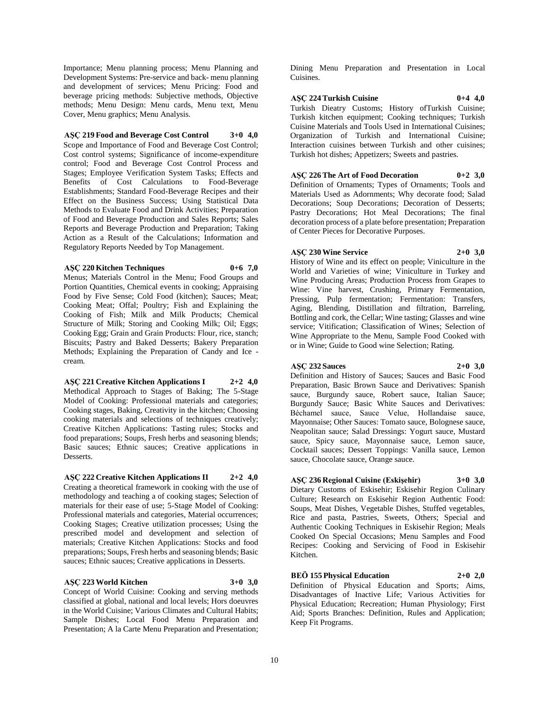Importance; Menu planning process; Menu Planning and Development Systems: Pre-service and back- menu planning and development of services; Menu Pricing: Food and beverage pricing methods: Subjective methods, Objective methods; Menu Design: Menu cards, Menu text, Menu Cover, Menu graphics; Menu Analysis.

# **AŞÇ 219 Food and Beverage Cost Control 3+0 4,0**

Scope and Importance of Food and Beverage Cost Control; Cost control systems; Significance of income-expenditure control; Food and Beverage Cost Control Process and Stages; Employee Verification System Tasks; Effects and Benefits of Cost Calculations to Food-Beverage Establishments; Standard Food-Beverage Recipes and their Effect on the Business Success; Using Statistical Data Methods to Evaluate Food and Drink Activities; Preparation of Food and Beverage Production and Sales Reports; Sales Reports and Beverage Production and Preparation; Taking Action as a Result of the Calculations; Information and Regulatory Reports Needed by Top Management.

#### **AŞÇ 220 Kitchen Techniques 0+6 7,0**

Menus; Materials Control in the Menu; Food Groups and Portion Quantities, Chemical events in cooking; Appraising Food by Five Sense; Cold Food (kitchen); Sauces; Meat; Cooking Meat; Offal; Poultry; Fish and Explaining the Cooking of Fish; Milk and Milk Products; Chemical Structure of Milk; Storing and Cooking Milk; Oil; Eggs; Cooking Egg; Grain and Grain Products: Flour, rice, stanch; Biscuits; Pastry and Baked Desserts; Bakery Preparation Methods; Explaining the Preparation of Candy and Ice cream.

#### **AŞÇ 221 Creative Kitchen Applications I 2+2 4,0** Methodical Approach to Stages of Baking; The 5-Stage Model of Cooking: Professional materials and categories; Cooking stages, Baking, Creativity in the kitchen; Choosing cooking materials and selections of techniques creatively; Creative Kitchen Applications: Tasting rules; Stocks and food preparations; Soups, Fresh herbs and seasoning blends; Basic sauces; Ethnic sauces; Creative applications in Desserts.

**AŞÇ 222 Creative Kitchen Applications II 2+2 4,0** Creating a theoretical framework in cooking with the use of methodology and teaching a of cooking stages; Selection of materials for their ease of use; 5-Stage Model of Cooking: Professional materials and categories, Material occurrences; Cooking Stages; Creative utilization processes; Using the prescribed model and development and selection of materials; Creative Kitchen Applications: Stocks and food preparations; Soups, Fresh herbs and seasoning blends; Basic sauces; Ethnic sauces; Creative applications in Desserts.

#### **AŞÇ 223 World Kitchen 3+0 3,0**

Concept of World Cuisine: Cooking and serving methods classified at global, national and local levels; Hors doeuvres in the World Cuisine; Various Climates and Cultural Habits; Sample Dishes; Local Food Menu Preparation and Presentation; A la Carte Menu Preparation and Presentation;

Dining Menu Preparation and Presentation in Local Cuisines.

#### **AŞÇ 224 Turkish Cuisine 0+4 4,0**

Turkish Dieatry Customs; History ofTurkish Cuisine; Turkish kitchen equipment; Cooking techniques; Turkish Cuisine Materials and Tools Used in International Cuisines; Organization of Turkish and International Cuisine; Interaction cuisines between Turkish and other cuisines; Turkish hot dishes; Appetizers; Sweets and pastries.

**AŞÇ 226 The Art of Food Decoration 0+2 3,0** Definition of Ornaments; Types of Ornaments; Tools and Materials Used as Adornments; Why decorate food; Salad Decorations; Soup Decorations; Decoration of Desserts; Pastry Decorations; Hot Meal Decorations; The final decoration process of a plate before presentation; Preparation of Center Pieces for Decorative Purposes.

#### **AŞÇ 230 Wine Service 2+0 3,0**

History of Wine and its effect on people; Viniculture in the World and Varieties of wine; Viniculture in Turkey and Wine Producing Areas; Production Process from Grapes to Wine: Vine harvest, Crushing, Primary Fermentation, Pressing, Pulp fermentation; Fermentation: Transfers, Aging, Blending, Distillation and filtration, Barreling, Bottling and cork, the Cellar; Wine tasting; Glasses and wine service; Vitification; Classification of Wines; Selection of Wine Appropriate to the Menu, Sample Food Cooked with or in Wine; Guide to Good wine Selection; Rating.

#### **AŞÇ 232 Sauces 2+0 3,0**

Definition and History of Sauces; Sauces and Basic Food Preparation, Basic Brown Sauce and Derivatives: Spanish sauce, Burgundy sauce, Robert sauce, Italian Sauce; Burgundy Sauce; Basic White Sauces and Derivatives: Béchamel sauce, Sauce Velue, Hollandaise sauce, Mayonnaise; Other Sauces: Tomato sauce, Bolognese sauce, Neapolitan sauce; Salad Dressings: Yogurt sauce, Mustard sauce, Spicy sauce, Mayonnaise sauce, Lemon sauce, Cocktail sauces; Dessert Toppings: Vanilla sauce, Lemon sauce, Chocolate sauce, Orange sauce.

#### **AŞÇ 236 Regional Cuisine (Eskişehir) 3+0 3,0**

Dietary Customs of Eskisehir; Eskisehir Region Culinary Culture; Research on Eskisehir Region Authentic Food: Soups, Meat Dishes, Vegetable Dishes, Stuffed vegetables, Rice and pasta, Pastries, Sweets, Others; Special and Authentic Cooking Techniques in Eskisehir Region; Meals Cooked On Special Occasions; Menu Samples and Food Recipes: Cooking and Servicing of Food in Eskisehir Kitchen.

# **BEÖ 155 Physical Education 2+0 2,0**

Definition of Physical Education and Sports; Aims, Disadvantages of Inactive Life; Various Activities for Physical Education; Recreation; Human Physiology; First Aid; Sports Branches: Definition, Rules and Application; Keep Fit Programs.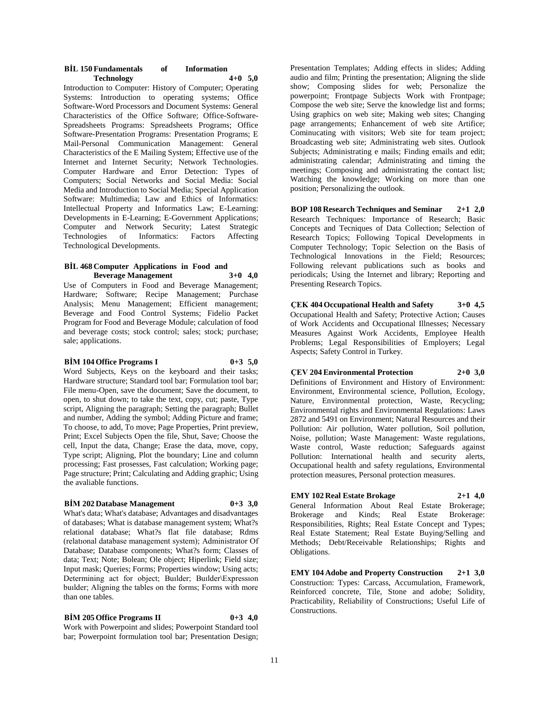| <b>BIL 150 Fundamentals</b> | of | <b>Information</b> |  |
|-----------------------------|----|--------------------|--|
| <b>Technology</b>           |    | $4+0$ 5.0          |  |

Introduction to Computer: History of Computer; Operating Systems: Introduction to operating systems; Office Software-Word Processors and Document Systems: General Characteristics of the Office Software; Office-Software-Spreadsheets Programs: Spreadsheets Programs; Office Software-Presentation Programs: Presentation Programs; E Mail-Personal Communication Management: General Characteristics of the E Mailing System; Effective use of the Internet and Internet Security; Network Technologies. Computer Hardware and Error Detection: Types of Computers; Social Networks and Social Media: Social Media and Introduction to Social Media; Special Application Software: Multimedia; Law and Ethics of Informatics: Intellectual Property and Informatics Law; E-Learning: Developments in E-Learning; E-Government Applications; Computer and Network Security; Latest Strategic Technologies of Informatics: Factors Affecting Technological Developments.

#### **BİL 468 Computer Applications in Food and Beverage Management 3+0 4,0**

Use of Computers in Food and Beverage Management; Hardware; Software; Recipe Management; Purchase Analysis; Menu Management; Efficient management; Beverage and Food Control Systems; Fidelio Packet Program for Food and Beverage Module; calculation of food and beverage costs; stock control; sales; stock; purchase; sale; applications.

#### **BİM 104 Office Programs I 0+3 5,0**

Word Subjects, Keys on the keyboard and their tasks; Hardware structure; Standard tool bar; Formulation tool bar; File menu-Open, save the document; Save the document, to open, to shut down; to take the text, copy, cut; paste, Type script, Aligning the paragraph; Setting the paragraph; Bullet and number, Adding the symbol; Adding Picture and frame; To choose, to add, To move; Page Properties, Print preview, Print; Excel Subjects Open the file, Shut, Save; Choose the cell, Input the data, Change; Erase the data, move, copy, Type script; Aligning, Plot the boundary; Line and column processing; Fast prosesses, Fast calculation; Working page; Page structure; Print; Calculating and Adding graphic; Using the avaliable functions.

#### **BİM 202 Database Management 0+3 3,0**

What's data; What's database; Advantages and disadvantages of databases; What is database management system; What?s relational database; What?s flat file database; Rdms (relatıonal database management system); Administrator Of Database; Database components; What?s form; Classes of data; Text; Note; Bolean; Ole object; Hiperlink; Field size; Input mask; Queries; Forms; Properties window; Using acts; Determining act for object; Builder; Builder\Expression buılder; Aligning the tables on the forms; Forms with more than one tables.

**BİM 205 Office Programs II 0+3 4,0** Work with Powerpoint and slides; Powerpoint Standard tool bar: Powerpoint formulation tool bar; Presentation Design;

Presentation Templates; Adding effects in slides; Adding audio and film; Printing the presentation; Aligning the slide show; Composing slides for web; Personalize the powerpoint; Frontpage Subjects Work with Frontpage; Compose the web site; Serve the knowledge list and forms; Using graphics on web site; Making web sites; Changing page arrangements; Enhancement of web site Artifice; Cominucating with visitors; Web site for team project; Broadcasting web site; Administrating web sites. Outlook Subjects; Administrating e mails; Finding emails and edit; administrating calendar; Administrating and timing the meetings; Composing and administrating the contact list; Watching the knowledge; Working on more than one position; Personalizing the outlook.

**BOP 108 Research Techniques and Seminar 2+1 2,0** Research Techniques: Importance of Research; Basic Concepts and Tecniques of Data Collection; Selection of Research Topics; Following Topical Developments in Computer Technology; Topic Selection on the Basis of Technological Innovations in the Field; Resources; Following relevant publications such as books and periodicals; Using the Internet and library; Reporting and Presenting Research Topics.

**ÇEK 404 Occupational Health and Safety 3+0 4,5** Occupational Health and Safety; Protective Action; Causes of Work Accidents and Occupational Illnesses; Necessary Measures Against Work Accidents, Employee Health Problems; Legal Responsibilities of Employers; Legal Aspects; Safety Control in Turkey.

# **ÇEV 204 Environmental Protection 2+0 3,0**

Definitions of Environment and History of Environment: Environment, Environmental science, Pollution, Ecology, Nature, Environmental protection, Waste, Recycling; Environmental rights and Environmental Regulations: Laws 2872 and 5491 on Environment; Natural Resources and their Pollution: Air pollution, Water pollution, Soil pollution, Noise, pollution; Waste Management: Waste regulations, Waste control, Waste reduction; Safeguards against Pollution: International health and security alerts, Occupational health and safety regulations, Environmental protection measures, Personal protection measures.

#### **EMY 102 Real Estate Brokage 2+1 4,0**

General Information About Real Estate Brokerage; Brokerage and Kinds; Real Estate Brokerage: Responsibilities, Rights; Real Estate Concept and Types; Real Estate Statement; Real Estate Buying/Selling and Methods; Debt/Receivable Relationships; Rights and Obligations.

**EMY 104 Adobe and Property Construction 2+1 3,0** Construction: Types: Carcass, Accumulation, Framework, Reinforced concrete, Tile, Stone and adobe; Solidity, Practicability, Reliability of Constructions; Useful Life of Constructions.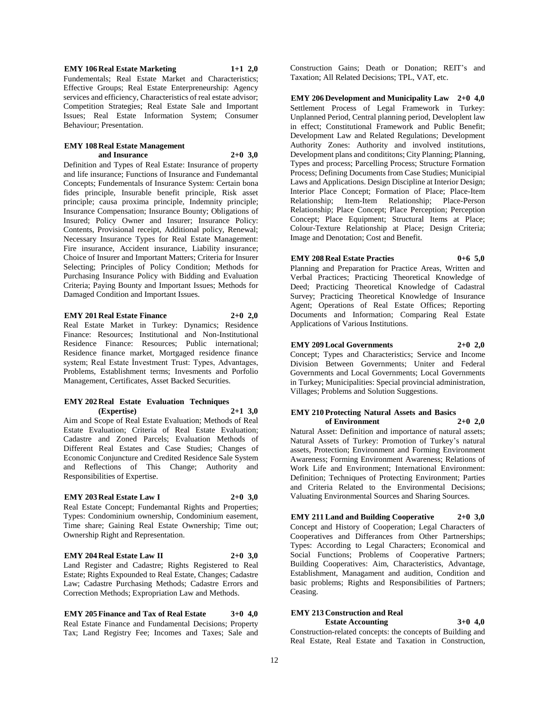**EMY 106 Real Estate Marketing 1+1 2,0**

Fundementals; Real Estate Market and Characteristics; Effective Groups; Real Estate Enterpreneurship: Agency services and efficiency, Characteristics of real estate advisor; Competition Strategies; Real Estate Sale and Important Issues; Real Estate Information System; Consumer Behaviour; Presentation.

#### **EMY 108 Real Estate Management and Insurance 2+0 3,0**

Definition and Types of Real Estate: Insurance of property and life insurance; Functions of Insurance and Fundemantal Concepts; Fundementals of Insurance System: Certain bona fides principle, Insurable benefit principle, Risk asset principle; causa proxima principle, Indemnity principle; Insurance Compensation; Insurance Bounty; Obligations of Insured; Policy Owner and Insurer; Insurance Policy: Contents, Provisional receipt, Additional policy, Renewal; Necessary Insurance Types for Real Estate Management: Fire insurance, Accident insurance, Liability insurance; Choice of Insurer and Important Matters; Criteria for Insurer Selecting; Principles of Policy Condition; Methods for Purchasing Insurance Policy with Bidding and Evaluation Criteria; Paying Bounty and Important Issues; Methods for Damaged Condition and Important Issues.

#### **EMY 201 Real Estate Finance 2+0 2,0**

Real Estate Market in Turkey: Dynamics; Residence Finance: Resources; Institutional and Non-Institutional Residence Finance: Resources; Public international; Residence finance market, Mortgaged residence finance system; Real Estate İnvestment Trust: Types, Advantages, Problems, Establishment terms; Invesments and Porfolio Management, Certificates, Asset Backed Securities.

#### **EMY 202 Real Estate Evaluation Techniques (Expertise) 2+1 3,0**

Aim and Scope of Real Estate Evaluation; Methods of Real Estate Evaluation; Criteria of Real Estate Evaluation; Cadastre and Zoned Parcels; Evaluation Methods of Different Real Estates and Case Studies; Changes of Economic Conjuncture and Credited Residence Sale System and Reflections of This Change; Authority and Responsibilities of Expertise.

#### **EMY 203 Real Estate Law I 2+0 3,0**

Real Estate Concept; Fundemantal Rights and Properties; Types: Condominium ownership, Condominium easement, Time share; Gaining Real Estate Ownership; Time out; Ownership Right and Representation.

#### **EMY 204 Real Estate Law II 2+0 3,0**

Land Register and Cadastre; Rights Registered to Real Estate; Rights Expounded to Real Estate, Changes; Cadastre Law; Cadastre Purchasing Methods; Cadastre Errors and Correction Methods; Expropriation Law and Methods.

**EMY 205 Finance and Tax of Real Estate 3+0 4,0** Real Estate Finance and Fundamental Decisions; Property Tax; Land Registry Fee; Incomes and Taxes; Sale and Construction Gains; Death or Donation; REIT's and Taxation; All Related Decisions; TPL, VAT, etc.

**EMY 206 Development and Municipality Law 2+0 4,0** Settlement Process of Legal Framework in Turkey: Unplanned Period, Central planning period, Developlent law in effect; Constitutional Framework and Public Benefit; Development Law and Related Regulations; Development Authority Zones: Authority and involved institutions, Development plans and condititons; City Planning; Planning, Types and process; Parcelling Process; Structure Formation Process; Defining Documents from Case Studies; Municipial Laws and Applications. Design Discipline at Interior Design; Interior Place Concept; Formation of Place; Place-Item Relationship; Item-Item Relationship; Place-Person Relationship; Place Concept; Place Perception; Perception Concept; Place Equipment; Structural Items at Place; Colour-Texture Relationship at Place; Design Criteria; Image and Denotation; Cost and Benefit.

#### **EMY 208 Real Estate Practies 0+6 5,0**

Planning and Preparation for Practice Areas, Written and Verbal Practices; Practicing Theoretical Knowledge of Deed; Practicing Theoretical Knowledge of Cadastral Survey; Practicing Theoretical Knowledge of Insurance Agent; Operations of Real Estate Offices; Reporting Documents and Information; Comparing Real Estate Applications of Various Institutions.

#### **EMY 209 Local Governments 2+0 2,0**

Concept; Types and Characteristics; Service and Income Division Between Governments; Uniter and Federal Governments and Local Governments; Local Governments in Turkey; Municipalities: Special provincial administration, Villages; Problems and Solution Suggestions.

#### **EMY 210 Protecting Natural Assets and Basics of Environment 2+0 2,0**

Natural Asset: Definition and importance of natural assets; Natural Assets of Turkey: Promotion of Turkey's natural assets, Protection; Environment and Forming Environment Awareness; Forming Environment Awareness; Relations of Work Life and Environment; International Environment: Definition; Techniques of Protecting Environment; Parties and Criteria Related to the Environmental Decisions; Valuating Environmental Sources and Sharing Sources.

**EMY 211 Land and Building Cooperative 2+0 3,0** Concept and History of Cooperation; Legal Characters of Cooperatives and Differances from Other Partnerships; Types: According to Legal Characters; Economical and Social Functions; Problems of Cooperative Partners; Building Cooperatives: Aim, Characteristics, Advantage, Establishment, Managament and audition, Condition and basic problems; Rights and Responsibilities of Partners; Ceasing.

#### **EMY 213 Construction and Real Estate Accounting 3+0 4,0**

Construction-related concepts: the concepts of Building and Real Estate, Real Estate and Taxation in Construction,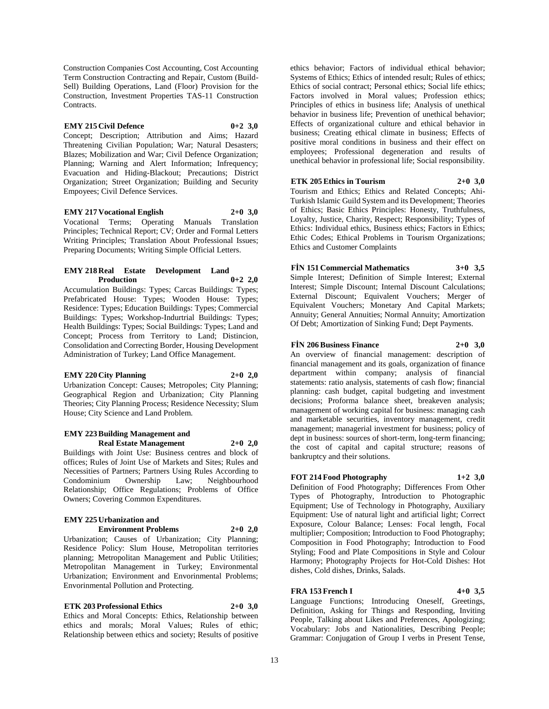Construction Companies Cost Accounting, Cost Accounting Term Construction Contracting and Repair, Custom (Build-Sell) Building Operations, Land (Floor) Provision for the Construction, Investment Properties TAS-11 Construction Contracts.

#### **EMY 215 Civil Defence 0+2 3,0**

Concept; Description; Attribution and Aims; Hazard Threatening Civilian Population; War; Natural Desasters; Blazes; Mobilization and War; Civil Defence Organization; Planning; Warning and Alert Information; Infrequency; Evacuation and Hiding-Blackout; Precautions; District Organization; Street Organization; Building and Security Empoyees; Civil Defence Services.

#### **EMY 217 Vocational English 2+0 3,0**

Vocational Terms; Operating Manuals Translation Principles; Technical Report; CV; Order and Formal Letters Writing Principles; Translation About Professional Issues; Preparing Documents; Writing Simple Official Letters.

#### **EMY 218 Real Estate Development Land Production 0+2 2,0**

Accumulation Buildings: Types; Carcas Buildings: Types; Prefabricated House: Types; Wooden House: Types; Residence: Types; Education Buildings: Types; Commercial Buildings: Types; Workshop-Indurtrial Buildings: Types; Health Buildings: Types; Social Buildings: Types; Land and Concept; Process from Territory to Land; Distincion, Consolidation and Correcting Border, Housing Development Administration of Turkey; Land Office Management.

#### **EMY 220 City Planning 2+0 2,0**

Urbanization Concept: Causes; Metropoles; City Planning; Geographical Region and Urbanization; City Planning Theories; City Planning Process; Residence Necessity; Slum House; City Science and Land Problem.

#### **EMY 223 Building Management and Real Estate Management 2+0 2,0**

Buildings with Joint Use: Business centres and block of offices; Rules of Joint Use of Markets and Sites; Rules and Necessities of Partners; Partners Using Rules According to Condominium Ownership Law; Neighbourhood Relationship; Office Regulations; Problems of Office Owners; Covering Common Expenditures.

# **EMY 225 Urbanization and**

# **Environment Problems 2+0 2,0**

Urbanization; Causes of Urbanization; City Planning; Residence Policy: Slum House, Metropolitan territories planning; Metropolitan Management and Public Utilities; Metropolitan Management in Turkey; Environmental Urbanization; Environment and Envorinmental Problems; Envorinmental Pollution and Protecting.

#### **ETK 203 Professional Ethics 2+0 3,0**

Ethics and Moral Concepts: Ethics, Relationship between ethics and morals; Moral Values; Rules of ethic; Relationship between ethics and society; Results of positive

ethics behavior; Factors of individual ethical behavior; Systems of Ethics; Ethics of intended result; Rules of ethics; Ethics of social contract; Personal ethics; Social life ethics; Factors involved in Moral values; Profession ethics; Principles of ethics in business life; Analysis of unethical behavior in business life; Prevention of unethical behavior; Effects of organizational culture and ethical behavior in business; Creating ethical climate in business; Effects of positive moral conditions in business and their effect on employees; Professional degeneration and results of unethical behavior in professional life; Social responsibility.

#### **ETK 205 Ethics in Tourism 2+0 3,0**

Tourism and Ethics; Ethics and Related Concepts; Ahi-Turkish Islamic Guild System and its Development; Theories of Ethics; Basic Ethics Principles: Honesty, Truthfulness, Loyalty, Justice, Charity, Respect; Responsibility; Types of Ethics: Individual ethics, Business ethics; Factors in Ethics; Ethic Codes; Ethical Problems in Tourism Organizations; Ethics and Customer Complaints

# **FİN 151 Commercial Mathematics 3+0 3,5**

Simple Interest; Definition of Simple Interest; External Interest; Simple Discount; Internal Discount Calculations; External Discount; Equivalent Vouchers; Merger of Equivalent Vouchers; Monetary And Capital Markets; Annuity; General Annuities; Normal Annuity; Amortization Of Debt; Amortization of Sinking Fund; Dept Payments.

#### **FİN 206 Business Finance 2+0 3,0**

An overview of financial management: description of financial management and its goals, organization of finance department within company; analysis of financial statements: ratio analysis, statements of cash flow; financial planning: cash budget, capital budgeting and investment decisions; Proforma balance sheet, breakeven analysis; management of working capital for business: managing cash and marketable securities, inventory management, credit management; managerial investment for business; policy of dept in business: sources of short-term, long-term financing; the cost of capital and capital structure; reasons of bankruptcy and their solutions.

### **FOT 214 Food Photography 1+2 3,0**

Definition of Food Photography; Differences From Other Types of Photography, Introduction to Photographic Equipment; Use of Technology in Photography, Auxiliary Equipment: Use of natural light and artificial light; Correct Exposure, Colour Balance; Lenses: Focal length, Focal multiplier; Composition; Introduction to Food Photography; Composition in Food Photography; Introduction to Food Styling; Food and Plate Compositions in Style and Colour Harmony; Photography Projects for Hot-Cold Dishes: Hot dishes, Cold dishes, Drinks, Salads.

### **FRA 153 French I 4+0 3,5**

Language Functions; Introducing Oneself, Greetings, Definition, Asking for Things and Responding, Inviting People, Talking about Likes and Preferences, Apologizing; Vocabulary: Jobs and Nationalities, Describing People; Grammar: Conjugation of Group I verbs in Present Tense,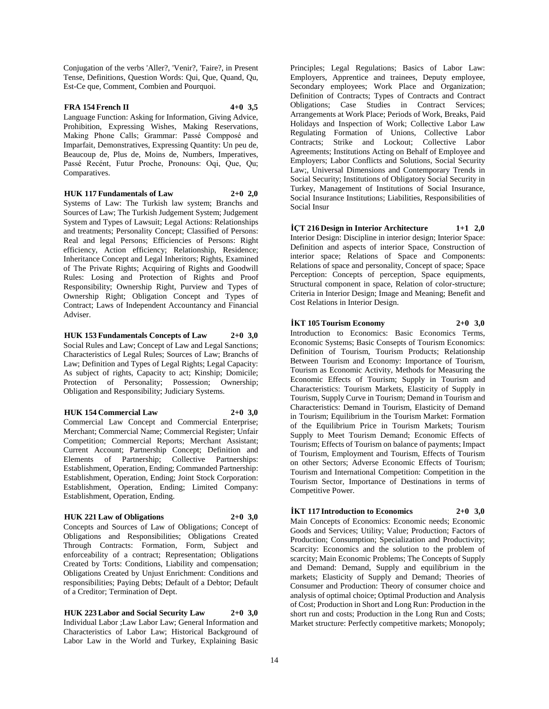Conjugation of the verbs 'Aller?, 'Venir?, 'Faire?, in Present Tense, Definitions, Question Words: Qui, Que, Quand, Qu, Est-Ce que, Comment, Combien and Pourquoi.

# **FRA 154 French II 4+0 3,5**

Language Function: Asking for Information, Giving Advice, Prohibition, Expressing Wishes, Making Reservations, Making Phone Calls; Grammar: Passé Compposé and Imparfait, Demonstratives, Expressing Quantity: Un peu de, Beaucoup de, Plus de, Moins de, Numbers, Imperatives, Passé Recént, Futur Proche, Pronouns: Oqi, Que, Qu; Comparatives.

**HUK 117 Fundamentals of Law 2+0 2,0**

Systems of Law: The Turkish law system; Branchs and Sources of Law; The Turkish Judgement System; Judgement System and Types of Lawsuit; Legal Actions: Relationships and treatments; Personality Concept; Classified of Persons: Real and legal Persons; Efficiencies of Persons: Right efficiency, Action efficiency; Relationship, Residence; Inheritance Concept and Legal Inheritors; Rights, Examined of The Private Rights; Acquiring of Rights and Goodwill Rules: Losing and Protection of Rights and Proof Responsibility; Ownership Right, Purview and Types of Ownership Right; Obligation Concept and Types of Contract; Laws of Independent Accountancy and Financial Adviser.

**HUK 153 Fundamentals Concepts of Law 2+0 3,0** Social Rules and Law; Concept of Law and Legal Sanctions; Characteristics of Legal Rules; Sources of Law; Branchs of Law; Definition and Types of Legal Rights; Legal Capacity: As subject of rights, Capacity to act; Kinship; Domicile; Protection of Personality; Possession; Ownership; Obligation and Responsibility; Judiciary Systems.

#### **HUK 154 Commercial Law 2+0 3,0**

Commercial Law Concept and Commercial Enterprise; Merchant; Commercial Name; Commercial Register; Unfair Competition; Commercial Reports; Merchant Assistant; Current Account; Partnership Concept; Definition and Elements of Partnership; Collective Partnerships: Establishment, Operation, Ending; Commanded Partnership: Establishment, Operation, Ending; Joint Stock Corporation: Establishment, Operation, Ending; Limited Company: Establishment, Operation, Ending.

### **HUK 221 Law of Obligations 2+0 3,0**

Concepts and Sources of Law of Obligations; Concept of Obligations and Responsibilities; Obligations Created Through Contracts: Formation, Form, Subject and enforceability of a contract; Representation; Obligations Created by Torts: Conditions, Liability and compensation; Obligations Created by Unjust Enrichment: Conditions and responsibilities; Paying Debts; Default of a Debtor; Default of a Creditor; Termination of Dept.

**HUK 223 Labor and Social Security Law 2+0 3,0** Individual Labor ;Law Labor Law; General Information and Characteristics of Labor Law; Historical Background of Labor Law in the World and Turkey, Explaining Basic

Principles; Legal Regulations; Basics of Labor Law: Employers, Apprentice and trainees, Deputy employee, Secondary employees; Work Place and Organization; Definition of Contracts; Types of Contracts and Contract Obligations; Case Studies in Contract Services; Arrangements at Work Place; Periods of Work, Breaks, Paid Holidays and Inspection of Work; Collective Labor Law Regulating Formation of Unions, Collective Labor Contracts; Strike and Lockout; Collective Labor Agreements; Institutions Acting on Behalf of Employee and Employers; Labor Conflicts and Solutions, Social Security Law;, Universal Dimensions and Contemporary Trends in Social Security; Institutions of Obligatory Social Security in Turkey, Management of Institutions of Social Insurance, Social Insurance Institutions; Liabilities, Responsibilities of Social Insur

**İÇT 216 Design in Interior Architecture 1+1 2,0** Interior Design: Discipline in interior design; Interior Space: Definition and aspects of interior Space, Construction of interior space; Relations of Space and Components: Relations of space and personality, Concept of space; Space Perception: Concepts of perception, Space equipments, Structural component in space, Relation of color-structure; Criteria in Interior Design; Image and Meaning; Benefit and Cost Relations in Interior Design.

**İKT 105 Tourism Economy 2+0 3,0** Introduction to Economics: Basic Economics Terms, Economic Systems; Basic Consepts of Tourism Economics: Definition of Tourism, Tourism Products; Relationship Between Tourism and Economy: Importance of Tourism, Tourism as Economic Activity, Methods for Measuring the Economic Effects of Tourism; Supply in Tourism and Characteristics: Tourism Markets, Elasticity of Supply in Tourism, Supply Curve in Tourism; Demand in Tourism and Characteristics: Demand in Tourism, Elasticity of Demand in Tourism; Equilibrium in the Tourism Market: Formation of the Equilibrium Price in Tourism Markets; Tourism Supply to Meet Tourism Demand; Economic Effects of Tourism; Effects of Tourism on balance of payments; Impact of Tourism, Employment and Tourism, Effects of Tourism on other Sectors; Adverse Economic Effects of Tourism; Tourism and International Competition: Competition in the Tourism Sector, Importance of Destinations in terms of Competitive Power.

# **İKT 117 Introduction to Economics 2+0 3,0**

Main Concepts of Economics: Economic needs; Economic Goods and Services; Utility; Value; Production; Factors of Production; Consumption; Specialization and Productivity; Scarcity: Economics and the solution to the problem of scarcity; Main Economic Problems; The Concepts of Supply and Demand: Demand, Supply and equilibrium in the markets; Elasticity of Supply and Demand; Theories of Consumer and Production: Theory of consumer choice and analysis of optimal choice; Optimal Production and Analysis of Cost; Production in Short and Long Run: Production in the short run and costs; Production in the Long Run and Costs; Market structure: Perfectly competitive markets; Monopoly;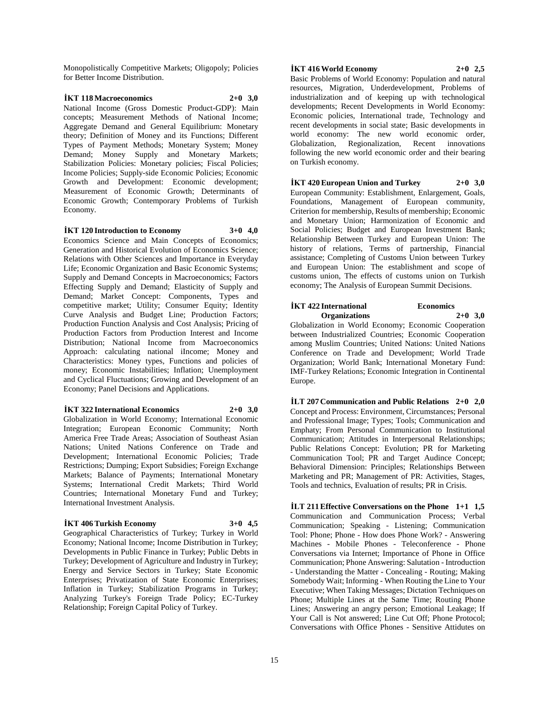Monopolistically Competitive Markets; Oligopoly; Policies for Better Income Distribution.

#### **İKT 118 Macroeconomics 2+0 3,0** National Income (Gross Domestic Product-GDP): Main concepts; Measurement Methods of National Income; Aggregate Demand and General Equilibrium: Monetary theory; Definition of Money and its Functions; Different Types of Payment Methods; Monetary System; Money Demand; Money Supply and Monetary Markets; Stabilization Policies: Monetary policies; Fiscal Policies; Income Policies; Supply-side Economic Policies; Economic Growth and Development: Economic development; Measurement of Economic Growth; Determinants of

**İKT 120 Introduction to Economy 3+0 4,0**

Economy.

Economic Growth; Contemporary Problems of Turkish

Economics Science and Main Concepts of Economics; Generation and Historical Evolution of Economics Science; Relations with Other Sciences and Importance in Everyday Life; Economic Organization and Basic Economic Systems; Supply and Demand Concepts in Macroeconomics; Factors Effecting Supply and Demand; Elasticity of Supply and Demand; Market Concept: Components, Types and competitive market; Utility; Consumer Equity; Identity Curve Analysis and Budget Line; Production Factors; Production Function Analysis and Cost Analysis; Pricing of Production Factors from Production Interest and Income Distribution; National Income from Macroeconomics Approach: calculating national iIncome; Money and Characteristics: Money types, Functions and policies of money; Economic Instabilities; Inflation; Unemployment and Cyclical Fluctuations; Growing and Development of an Economy; Panel Decisions and Applications.

#### **İKT 322 International Economics 2+0 3,0**

Globalization in World Economy; International Economic Integration; European Economic Community; North America Free Trade Areas; Association of Southeast Asian Nations; United Nations Conference on Trade and Development; International Economic Policies; Trade Restrictions; Dumping; Export Subsidies; Foreign Exchange Markets; Balance of Payments; International Monetary Systems; International Credit Markets; Third World Countries; International Monetary Fund and Turkey; International Investment Analysis.

#### **İKT 406 Turkish Economy 3+0 4,5**

Geographical Characteristics of Turkey; Turkey in World Economy; National Income; Income Distribution in Turkey; Developments in Public Finance in Turkey; Public Debts in Turkey; Development of Agriculture and Industry in Turkey; Energy and Service Sectors in Turkey; State Economic Enterprises; Privatization of State Economic Enterprises; Inflation in Turkey; Stabilization Programs in Turkey; Analyzing Turkey's Foreign Trade Policy; EC-Turkey Relationship; Foreign Capital Policy of Turkey.

#### **İKT 416 World Economy 2+0 2,5**

Basic Problems of World Economy: Population and natural resources, Migration, Underdevelopment, Problems of industrialization and of keeping up with technological developments; Recent Developments in World Economy: Economic policies, International trade, Technology and recent developments in social state; Basic developments in world economy: The new world economic order, Globalization, Regionalization, Recent innovations following the new world economic order and their bearing on Turkish economy.

**İKT 420 European Union and Turkey 2+0 3,0** European Community: Establishment, Enlargement, Goals, Foundations, Management of European community, Criterion for membership, Results of membership; Economic and Monetary Union; Harmonization of Economic and Social Policies; Budget and European Investment Bank; Relationship Between Turkey and European Union: The history of relations, Terms of partnership, Financial assistance; Completing of Customs Union between Turkey and European Union: The establishment and scope of customs union, The effects of customs union on Turkish economy; The Analysis of European Summit Decisions.

#### **İKT 422 International Economics Organizations 2+0 3,0**

Globalization in World Economy; Economic Cooperation between Industrialized Countries; Economic Cooperation among Muslim Countries; United Nations: United Nations Conference on Trade and Development; World Trade Organization; World Bank; International Monetary Fund: IMF-Turkey Relations; Economic Integration in Continental Europe.

**İLT 207 Communication and Public Relations 2+0 2,0** Concept and Process: Environment, Circumstances; Personal and Professional Image; Types; Tools; Communication and Emphaty; From Personal Communication to Institutional Communication; Attitudes in Interpersonal Relationships; Public Relations Concept: Evolution; PR for Marketing Communication Tool; PR and Target Audince Concept; Behavioral Dimension: Principles; Relationships Between Marketing and PR; Management of PR: Activities, Stages, Tools and technics, Evaluation of results; PR in Crisis.

**İLT 211 Effective Conversations on the Phone 1+1 1,5** Communication and Communication Process; Verbal Communication; Speaking - Listening; Communication Tool: Phone; Phone - How does Phone Work? - Answering Machines - Mobile Phones - Teleconference - Phone Conversations via Internet; Importance of Phone in Office Communication; Phone Answering: Salutation - Introduction - Understanding the Matter - Concealing - Routing; Making Somebody Wait; Informing - When Routing the Line to Your Executive; When Taking Messages; Dictation Techniques on Phone; Multiple Lines at the Same Time; Routing Phone Lines; Answering an angry person; Emotional Leakage; If Your Call is Not answered; Line Cut Off; Phone Protocol; Conversations with Office Phones - Sensitive Attidutes on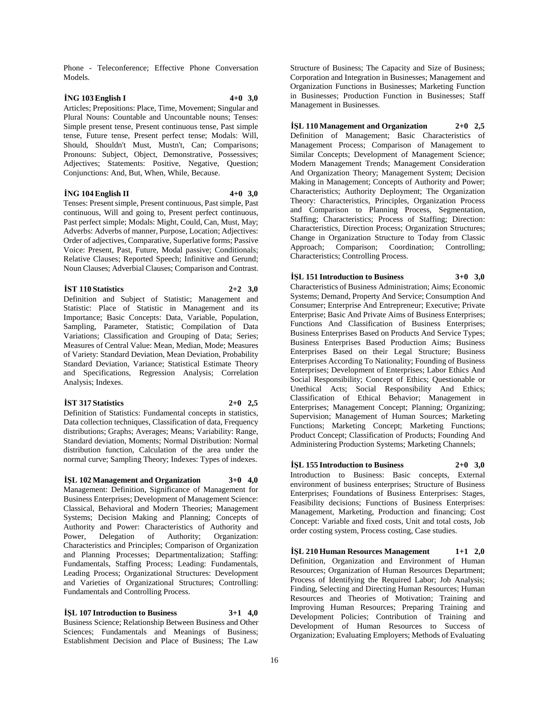Phone - Teleconference; Effective Phone Conversation Models.

#### **İNG 103 English I 4+0 3,0**

Articles; Prepositions: Place, Time, Movement; Singular and Plural Nouns: Countable and Uncountable nouns; Tenses: Simple present tense, Present continuous tense, Past simple tense, Future tense, Present perfect tense; Modals: Will, Should, Shouldn't Must, Mustn't, Can; Comparisons; Pronouns: Subject, Object, Demonstrative, Possessives; Adjectives; Statements: Positive, Negative, Question; Conjunctions: And, But, When, While, Because.

#### **İNG 104 English II 4+0 3,0**

Tenses: Present simple, Present continuous, Past simple, Past continuous, Will and going to, Present perfect continuous, Past perfect simple; Modals: Might, Could, Can, Must, May; Adverbs: Adverbs of manner, Purpose, Location; Adjectives: Order of adjectives, Comparative, Superlative forms; Passive Voice: Present, Past, Future, Modal passive; Conditionals; Relative Clauses; Reported Speech; Infinitive and Gerund; Noun Clauses; Adverbial Clauses; Comparison and Contrast.

#### **İST 110 Statistics 2+2 3,0**

Statistic: Place of Statistic in Management and its Importance; Basic Concepts: Data, Variable, Population, Sampling, Parameter, Statistic; Compilation of Data Variations; Classification and Grouping of Data; Series; Measures of Central Value: Mean, Median, Mode; Measures of Variety: Standard Deviation, Mean Deviation, Probability Standard Deviation, Variance; Statistical Estimate Theory and Specifications, Regression Analysis; Correlation Analysis; Indexes.

Definition and Subject of Statistic; Management and

#### **İST 317 Statistics 2+0 2,5**

Definition of Statistics: Fundamental concepts in statistics, Data collection techniques, Classification of data, Frequency distributions; Graphs; Averages; Means; Variability: Range, Standard deviation, Moments; Normal Distribution: Normal distribution function, Calculation of the area under the normal curve; Sampling Theory; Indexes: Types of indexes.

#### **İŞL 102 Management and Organization 3+0 4,0**

Management: Definition, Significance of Management for Business Enterprises; Development of Management Science: Classical, Behavioral and Modern Theories; Management Systems; Decision Making and Planning; Concepts of Authority and Power: Characteristics of Authority and Power, Delegation of Authority; Organization: Characteristics and Principles; Comparison of Organization and Planning Processes; Departmentalization; Staffing: Fundamentals, Staffing Process; Leading: Fundamentals, Leading Process; Organizational Structures: Development and Varieties of Organizational Structures; Controlling: Fundamentals and Controlling Process.

**İŞL 107 Introduction to Business 3+1 4,0**

Business Science; Relationship Between Business and Other Sciences; Fundamentals and Meanings of Business; Establishment Decision and Place of Business; The Law

Structure of Business; The Capacity and Size of Business; Corporation and Integration in Businesses; Management and Organization Functions in Businesses; Marketing Function in Businesses; Production Function in Businesses; Staff Management in Businesses.

**İŞL 110 Management and Organization 2+0 2,5** Definition of Management; Basic Characteristics of Management Process; Comparison of Management to Similar Concepts; Development of Management Science; Modern Management Trends; Management Consideration And Organization Theory; Management System; Decision Making in Management; Concepts of Authority and Power; Characteristics; Authority Deployment; The Organization Theory: Characteristics, Principles, Organization Process and Comparison to Planning Process, Segmentation, Staffing; Characteristics; Process of Staffing; Direction: Characteristics, Direction Process; Organization Structures; Change in Organization Structure to Today from Classic Approach; Comparison; Coordination; Controlling; Characteristics; Controlling Process.

# **İŞL 151 Introduction to Business 3+0 3,0**

Characteristics of Business Administration; Aims; Economic Systems; Demand, Property And Service; Consumption And Consumer; Enterprise And Entrepreneur; Executive; Private Enterprise; Basic And Private Aims of Business Enterprises; Functions And Classification of Business Enterprises; Business Enterprises Based on Products And Service Types; Business Enterprises Based Production Aims; Business Enterprises Based on their Legal Structure; Business Enterprises According To Nationality; Founding of Business Enterprises; Development of Enterprises; Labor Ethics And Social Responsibility; Concept of Ethics; Questionable or Unethical Acts; Social Responsibility And Ethics; Classification of Ethical Behavior; Management in Enterprises; Management Concept; Planning; Organizing; Supervision; Management of Human Sources; Marketing Functions; Marketing Concept; Marketing Functions; Product Concept; Classification of Products; Founding And Administering Production Systems; Marketing Channels;

#### **İŞL 155 Introduction to Business 2+0 3,0**

Introduction to Business: Basic concepts, External environment of business enterprises; Structure of Business Enterprises; Foundations of Business Enterprises: Stages, Feasibility decisions; Functions of Business Enterprises: Management, Marketing, Production and financing; Cost Concept: Variable and fixed costs, Unit and total costs, Job order costing system, Process costing, Case studies.

**İŞL 210 Human Resources Management 1+1 2,0** Definition, Organization and Environment of Human Resources; Organization of Human Resources Department; Process of Identifying the Required Labor; Job Analysis; Finding, Selecting and Directing Human Resources; Human Resources and Theories of Motivation; Training and Improving Human Resources; Preparing Training and Development Policies; Contribution of Training and Development of Human Resources to Success of Organization; Evaluating Employers; Methods of Evaluating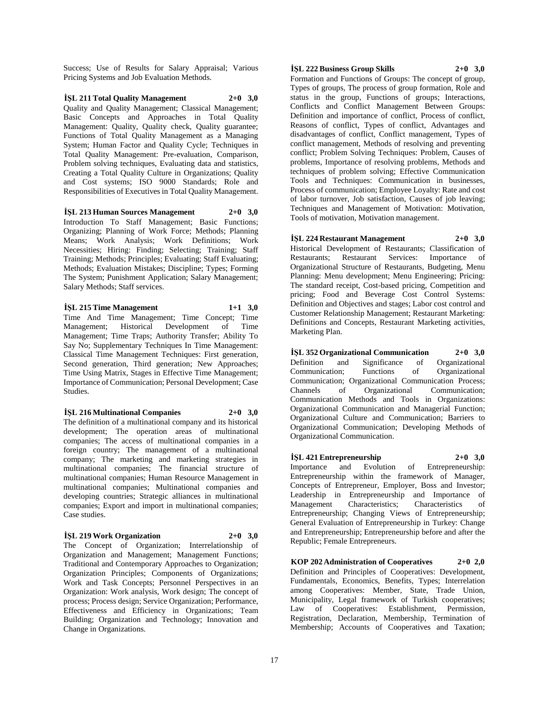Success; Use of Results for Salary Appraisal; Various Pricing Systems and Job Evaluation Methods.

**İŞL 211 Total Quality Management 2+0 3,0** Quality and Quality Management; Classical Management; Basic Concepts and Approaches in Total Quality Management: Quality, Quality check, Quality guarantee; Functions of Total Quality Management as a Managing System; Human Factor and Quality Cycle; Techniques in Total Quality Management: Pre-evaluation, Comparison, Problem solving techniques, Evaluating data and statistics, Creating a Total Quality Culture in Organizations; Quality and Cost systems; ISO 9000 Standards; Role and Responsibilities of Executives in Total Quality Management.

**İŞL 213 Human Sources Management 2+0 3,0** Introduction To Staff Management; Basic Functions; Organizing; Planning of Work Force; Methods; Planning Means; Work Analysis; Work Definitions; Work Necessities; Hiring: Finding; Selecting; Training; Staff Training; Methods; Principles; Evaluating; Staff Evaluating; Methods; Evaluation Mistakes; Discipline; Types; Forming The System; Punishment Application; Salary Management; Salary Methods; Staff services.

**İŞL 215 Time Management 1+1 3,0** Time And Time Management; Time Concept; Time Management; Historical Development of Time Management; Time Traps; Authority Transfer; Ability To Say No; Supplementary Techniques In Time Management: Classical Time Management Techniques: First generation, Second generation, Third generation; New Approaches; Time Using Matrix, Stages in Effective Time Management; Importance of Communication; Personal Development; Case Studies.

**İŞL 216 Multinational Companies 2+0 3,0** The definition of a multinational company and its historical development; The operation areas of multinational companies; The access of multinational companies in a foreign country; The management of a multinational company; The marketing and marketing strategies in multinational companies; The financial structure of multinational companies; Human Resource Management in multinational companies; Multinational companies and developing countries; Strategic alliances in multinational companies; Export and import in multinational companies; Case studies.

#### **İŞL 219 Work Organization 2+0 3,0**

The Concept of Organization; Interrelationship of Organization and Management; Management Functions; Traditional and Contemporary Approaches to Organization; Organization Principles; Components of Organizations; Work and Task Concepts; Personnel Perspectives in an Organization: Work analysis, Work design; The concept of process; Process design; Service Organization; Performance, Effectiveness and Efficiency in Organizations; Team Building; Organization and Technology; Innovation and Change in Organizations.

#### **İŞL 222 Business Group Skills 2+0 3,0**

Formation and Functions of Groups: The concept of group, Types of groups, The process of group formation, Role and status in the group, Functions of groups; Interactions, Conflicts and Conflict Management Between Groups: Definition and importance of conflict, Process of conflict, Reasons of conflict, Types of conflict, Advantages and disadvantages of conflict, Conflict management, Types of conflict management, Methods of resolving and preventing conflict; Problem Solving Techniques: Problem, Causes of problems, Importance of resolving problems, Methods and techniques of problem solving; Effective Communication Tools and Techniques: Communication in businesses, Process of communication; Employee Loyalty: Rate and cost of labor turnover, Job satisfaction, Causes of job leaving; Techniques and Management of Motivation: Motivation, Tools of motivation, Motivation management.

**İŞL 224 Restaurant Management 2+0 3,0** Historical Development of Restaurants; Classification of Restaurants; Restaurant Services: Importance of Organizational Structure of Restaurants, Budgeting, Menu Planning: Menu development; Menu Engineering; Pricing: The standard receipt, Cost-based pricing, Competition and pricing; Food and Beverage Cost Control Systems: Definition and Objectives and stages; Labor cost control and Customer Relationship Management; Restaurant Marketing: Definitions and Concepts, Restaurant Marketing activities, Marketing Plan.

**İŞL 352 Organizational Communication 2+0 3,0** Definition and Significance of Organizational Communication; Functions of Organizational Communication; Organizational Communication Process; Channels of Organizational Communication; Communication Methods and Tools in Organizations: Organizational Communication and Managerial Function; Organizational Culture and Communication; Barriers to Organizational Communication; Developing Methods of Organizational Communication.

**İŞL 421 Entrepreneurship 2+0 3,0** Importance and Evolution of Entrepreneurship: Entrepreneurship within the framework of Manager, Concepts of Entrepreneur, Employer, Boss and Investor; Leadership in Entrepreneurship and Importance of Management Characteristics; Characteristics of Entrepreneurship; Changing Views of Entrepreneurship; General Evaluation of Entrepreneurship in Turkey: Change and Entrepreneurship; Entrepreneurship before and after the Republic; Female Entrepreneurs.

**KOP 202 Administration of Cooperatives 2+0 2,0** Definition and Principles of Cooperatives: Development, Fundamentals, Economics, Benefits, Types; Interrelation among Cooperatives: Member, State, Trade Union, Municipality, Legal framework of Turkish cooperatives; Law of Cooperatives: Establishment, Permission, Registration, Declaration, Membership, Termination of Membership; Accounts of Cooperatives and Taxation;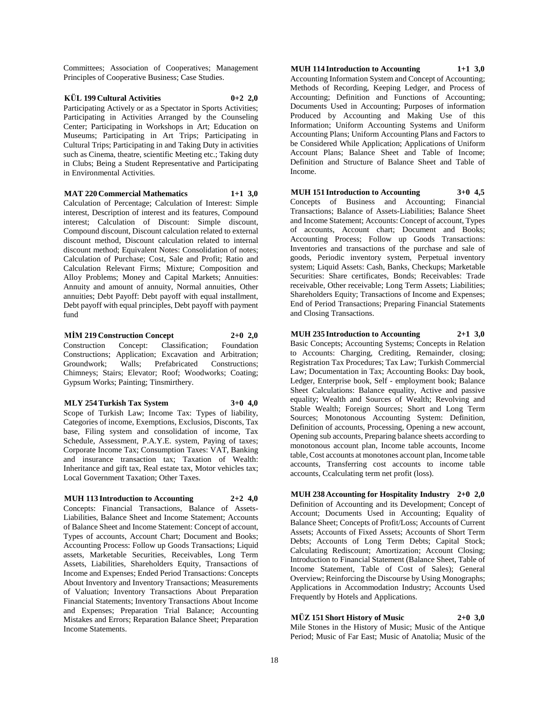Committees; Association of Cooperatives; Management Principles of Cooperative Business; Case Studies.

#### **KÜL 199 Cultural Activities 0+2 2,0** Participating Actively or as a Spectator in Sports Activities; Participating in Activities Arranged by the Counseling Center; Participating in Workshops in Art; Education on Museums; Participating in Art Trips; Participating in Cultural Trips; Participating in and Taking Duty in activities such as Cinema, theatre, scientific Meeting etc.; Taking duty in Clubs; Being a Student Representative and Participating in Environmental Activities.

#### **MAT 220 Commercial Mathematics 1+1 3,0**

Calculation of Percentage; Calculation of Interest: Simple interest, Description of interest and its features, Compound interest; Calculation of Discount: Simple discount, Compound discount, Discount calculation related to external discount method, Discount calculation related to internal discount method; Equivalent Notes: Consolidation of notes; Calculation of Purchase; Cost, Sale and Profit; Ratio and Calculation Relevant Firms; Mixture; Composition and Alloy Problems; Money and Capital Markets; Annuities: Annuity and amount of annuity, Normal annuities, Other annuities; Debt Payoff: Debt payoff with equal installment, Debt payoff with equal principles, Debt payoff with payment fund

#### **MİM 219 Construction Concept 2+0 2,0**

Construction Concept: Classification; Foundation Constructions; Application; Excavation and Arbitration; Groundwork; Walls; Prefabricated Constructions; Chimneys; Stairs; Elevator; Roof; Woodworks; Coating; Gypsum Works; Painting; Tinsmirthery.

#### **MLY 254 Turkish Tax System 3+0 4,0**

Scope of Turkish Law; Income Tax: Types of liability, Categories of income, Exemptions, Exclusios, Disconts, Tax base, Filing system and consolidation of income, Tax Schedule, Assessment, P.A.Y.E. system, Paying of taxes; Corporate Income Tax; Consumption Taxes: VAT, Banking and insurance transaction tax; Taxation of Wealth: Inheritance and gift tax, Real estate tax, Motor vehicles tax; Local Government Taxation; Other Taxes.

# **MUH 113 Introduction to Accounting 2+2 4,0**

Concepts: Financial Transactions, Balance of Assets-Liabilities, Balance Sheet and Income Statement; Accounts of Balance Sheet and Income Statement: Concept of account, Types of accounts, Account Chart; Document and Books; Accounting Process: Follow up Goods Transactions; Liquid assets, Marketable Securities, Receivables, Long Term Assets, Liabilities, Shareholders Equity, Transactions of Income and Expenses; Ended Period Transactions: Concepts About Inventory and Inventory Transactions; Measurements of Valuation; Inventory Transactions About Preparation Financial Statements; Inventory Transactions About Income and Expenses; Preparation Trial Balance; Accounting Mistakes and Errors; Reparation Balance Sheet; Preparation Income Statements.

**MUH 114 Introduction to Accounting 1+1 3,0** Accounting Information System and Concept of Accounting; Methods of Recording, Keeping Ledger, and Process of Accounting; Definition and Functions of Accounting; Documents Used in Accounting; Purposes of information Produced by Accounting and Making Use of this Information; Uniform Accounting Systems and Uniform Accounting Plans; Uniform Accounting Plans and Factors to be Considered While Application; Applications of Uniform Account Plans; Balance Sheet and Table of Income; Definition and Structure of Balance Sheet and Table of Income.

### **MUH 151 Introduction to Accounting 3+0 4,5**

Concepts of Business and Accounting; Financial Transactions; Balance of Assets-Liabilities; Balance Sheet and Income Statement; Accounts: Concept of account, Types of accounts, Account chart; Document and Books; Accounting Process; Follow up Goods Transactions: Inventories and transactions of the purchase and sale of goods, Periodic inventory system, Perpetual inventory system; Liquid Assets: Cash, Banks, Checkups; Marketable Securities: Share certificates, Bonds; Receivables: Trade receivable, Other receivable; Long Term Assets; Liabilities; Shareholders Equity; Transactions of Income and Expenses; End of Period Transactions; Preparing Financial Statements and Closing Transactions.

# **MUH 235 Introduction to Accounting 2+1 3,0**

Basic Concepts; Accounting Systems; Concepts in Relation to Accounts: Charging, Crediting, Remainder, closing; Registration Tax Procedures; Tax Law; Turkish Commercial Law; Documentation in Tax; Accounting Books: Day book, Ledger, Enterprise book, Self - employment book; Balance Sheet Calculations: Balance equality, Active and passive equality; Wealth and Sources of Wealth; Revolving and Stable Wealth; Foreign Sources; Short and Long Term Sources; Monotonous Accounting System: Definition, Definition of accounts, Processing, Opening a new account, Opening sub accounts, Preparing balance sheets according to monotonous account plan, Income table accounts, Income table, Cost accounts at monotones account plan, Income table accounts, Transferring cost accounts to income table accounts, Ccalculating term net profit (loss).

**MUH 238 Accounting for Hospitality Industry 2+0 2,0** Definition of Accounting and its Development; Concept of Account; Documents Used in Accounting; Equality of Balance Sheet; Concepts of Profit/Loss; Accounts of Current Assets; Accounts of Fixed Assets; Accounts of Short Term Debts; Accounts of Long Term Debts; Capital Stock; Calculating Rediscount; Amortization; Account Closing; Introduction to Financial Statement (Balance Sheet, Table of Income Statement, Table of Cost of Sales); General Overview; Reinforcing the Discourse by Using Monographs; Applications in Accommodation Industry; Accounts Used Frequently by Hotels and Applications.

**MÜZ 151 Short History of Music 2+0 3,0**

Mile Stones in the History of Music; Music of the Antique Period; Music of Far East; Music of Anatolia; Music of the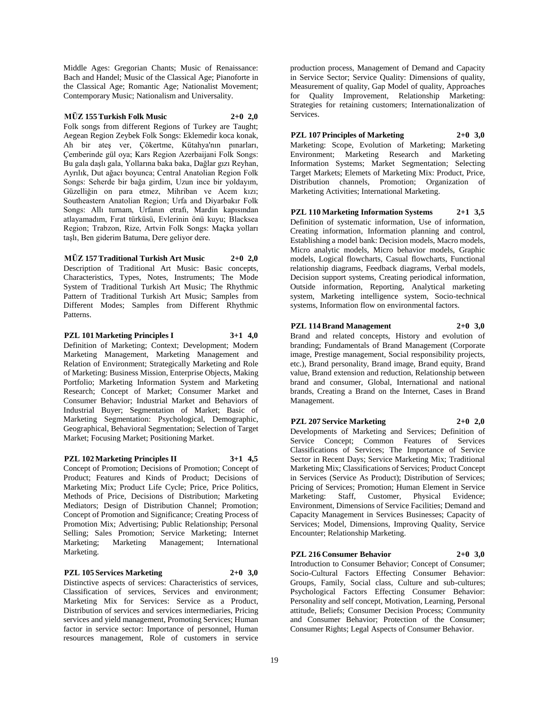Middle Ages: Gregorian Chants; Music of Renaissance: Bach and Handel; Music of the Classical Age; Pianoforte in the Classical Age; Romantic Age; Nationalist Movement; Contemporary Music; Nationalism and Universality.

#### **MÜZ 155 Turkish Folk Music 2+0 2,0**

Folk songs from different Regions of Turkey are Taught; Aegean Region Zeybek Folk Songs: Eklemedir koca konak, Ah bir ateş ver, Çökertme, Kütahya'nın pınarları, Çemberinde gül oya; Kars Region Azerbaijani Folk Songs: Bu gala daşlı gala, Yollarına baka baka, Dağlar gızı Reyhan, Ayrılık, Dut ağacı boyunca; Central Anatolian Region Folk Songs: Seherde bir bağa girdim, Uzun ince bir yoldayım, Güzelliğin on para etmez, Mihriban ve Acem kızı; Southeastern Anatolian Region; Urfa and Diyarbakır Folk Songs: Allı turnam, Urfanın etrafı, Mardin kapısından atlayamadım, Fırat türküsü, Evlerinin önü kuyu; Blacksea Region; Trabzon, Rize, Artvin Folk Songs: Maçka yolları taşlı, Ben giderim Batuma, Dere geliyor dere.

#### **MÜZ 157 Traditional Turkish Art Music 2+0 2,0**

Description of Traditional Art Music: Basic concepts, Characteristics, Types, Notes, Instruments; The Mode System of Traditional Turkish Art Music; The Rhythmic Pattern of Traditional Turkish Art Music; Samples from Different Modes; Samples from Different Rhythmic Patterns.

# **PZL 101 Marketing Principles I 3+1 4,0**

Definition of Marketing; Context; Development; Modern Marketing Management, Marketing Management and Relation of Environment; Strategically Marketing and Role of Marketing: Business Mission, Enterprise Objects, Making Portfolio; Marketing Information System and Marketing Research; Concept of Market; Consumer Market and Consumer Behavior; Industrial Market and Behaviors of Industrial Buyer; Segmentation of Market; Basic of Marketing Segmentation: Psychological, Demographic, Geographical, Behavioral Segmentation; Selection of Target Market; Focusing Market; Positioning Market.

#### **PZL 102 Marketing Principles II 3+1 4,5**

Concept of Promotion; Decisions of Promotion; Concept of Product; Features and Kinds of Product; Decisions of Marketing Mix; Product Life Cycle; Price, Price Politics, Methods of Price, Decisions of Distribution; Marketing Mediators; Design of Distribution Channel; Promotion; Concept of Promotion and Significance; Creating Process of Promotion Mix; Advertising; Public Relationship; Personal Selling; Sales Promotion; Service Marketing; Internet Marketing; Marketing Management; International Marketing.

#### **PZL 105 Services Marketing 2+0 3,0**

Distinctive aspects of services: Characteristics of services, Classification of services, Services and environment; Marketing Mix for Services: Service as a Product, Distribution of services and services intermediaries, Pricing services and yield management, Promoting Services; Human factor in service sector: Importance of personnel, Human resources management, Role of customers in service

production process, Management of Demand and Capacity in Service Sector; Service Quality: Dimensions of quality, Measurement of quality, Gap Model of quality, Approaches for Quality Improvement, Relationship Marketing: Strategies for retaining customers; Internationalization of Services.

**PZL 107 Principles of Marketing 2+0 3,0** Marketing: Scope, Evolution of Marketing; Marketing Environment; Marketing Research and Marketing Information Systems; Market Segmentation; Selecting Target Markets; Elemets of Marketing Mix: Product, Price, Distribution channels, Promotion; Organization of Marketing Activities; International Marketing.

**PZL 110 Marketing Information Systems 2+1 3,5** Definition of systematic information, Use of information, Creating information, Information planning and control, Establishing a model bank: Decision models, Macro models, Micro analytic models, Micro behavior models, Graphic models, Logical flowcharts, Casual flowcharts, Functional relationship diagrams, Feedback diagrams, Verbal models, Decision support systems, Creating periodical information, Outside information, Reporting, Analytical marketing system, Marketing intelligence system, Socio-technical systems, Information flow on environmental factors.

#### **PZL 114 Brand Management 2+0 3,0**

Brand and related concepts, History and evolution of branding; Fundamentals of Brand Management (Corporate image, Prestige management, Social responsibility projects, etc.), Brand personality, Brand image, Brand equity, Brand value, Brand extension and reduction, Relationship between brand and consumer, Global, International and national brands, Creating a Brand on the Internet, Cases in Brand Management.

**PZL 207 Service Marketing 2+0 2,0** Developments of Marketing and Services; Definition of Service Concept; Common Features of Services Classifications of Services; The Importance of Service Sector in Recent Days; Service Marketing Mix; Traditional Marketing Mix; Classifications of Services; Product Concept in Services (Service As Product); Distribution of Services; Pricing of Services; Promotion; Human Element in Service Marketing: Staff, Customer, Physical Evidence; Environment, Dimensions of Service Facilities; Demand and

Capacity Management in Services Businesses; Capacity of Services; Model, Dimensions, Improving Quality, Service Encounter; Relationship Marketing.

### **PZL 216 Consumer Behavior 2+0 3,0**

Introduction to Consumer Behavior; Concept of Consumer; Socio-Cultural Factors Effecting Consumer Behavior: Groups, Family, Social class, Culture and sub-cultures; Psychological Factors Effecting Consumer Behavior: Personality and self concept, Motivation, Learning, Personal attitude, Beliefs; Consumer Decision Process; Community and Consumer Behavior; Protection of the Consumer; Consumer Rights; Legal Aspects of Consumer Behavior.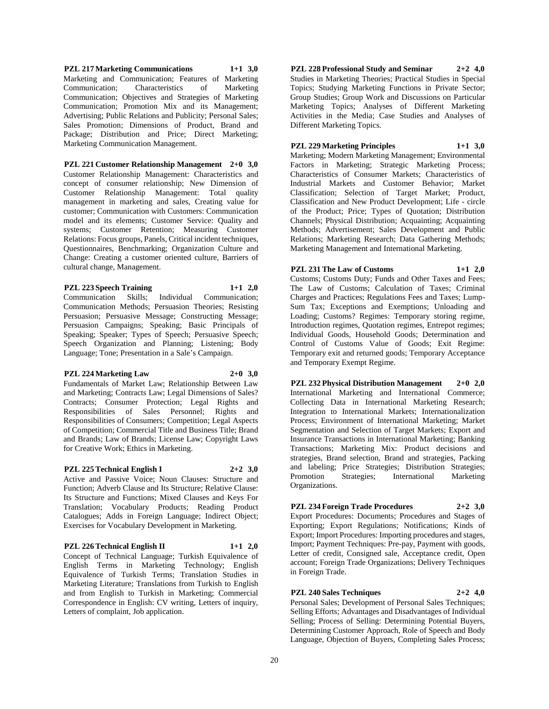**PZL 217 Marketing Communications 1+1 3,0** Marketing and Communication; Features of Marketing Communication; Characteristics of Marketing Communication; Objectives and Strategies of Marketing Communication; Promotion Mix and its Management; Advertising; Public Relations and Publicity; Personal Sales; Sales Promotion; Dimensions of Product, Brand and Package; Distribution and Price; Direct Marketing; Marketing Communication Management.

**PZL 221 Customer Relationship Management 2+0 3,0** Customer Relationship Management: Characteristics and concept of consumer relationship; New Dimension of Customer Relationship Management: Total quality management in marketing and sales, Creating value for customer; Communication with Customers: Communication model and its elements; Customer Service: Quality and systems; Customer Retention; Measuring Customer Relations: Focus groups, Panels, Critical incident techniques, Questionnaires, Benchmarking; Organization Culture and Change: Creating a customer oriented culture, Barriers of cultural change, Management.

#### **PZL 223 Speech Training 1+1 2,0**

Communication Skills; Individual Communication; Communication Methods; Persuasion Theories; Resisting Persuasion; Persuasive Message; Constructing Message; Persuasion Campaigns; Speaking; Basic Principals of Speaking; Speaker; Types of Speech; Persuasive Speech; Speech Organization and Planning; Listening; Body Language; Tone; Presentation in a Sale's Campaign.

### **PZL 224 Marketing Law 2+0 3,0**

Fundamentals of Market Law; Relationship Between Law and Marketing; Contracts Law; Legal Dimensions of Sales? Contracts; Consumer Protection; Legal Rights and Responsibilities of Sales Personnel; Rights and Responsibilities of Consumers; Competition; Legal Aspects of Competition; Commercial Title and Business Title; Brand and Brands; Law of Brands; License Law; Copyright Laws for Creative Work; Ethics in Marketing.

#### **PZL 225 Technical English I 2+2 3,0**

Active and Passive Voice; Noun Clauses: Structure and Function; Adverb Clause and Its Structure; Relative Clause: Its Structure and Functions; Mixed Clauses and Keys For Translation; Vocabulary Products; Reading Product Catalogues; Adds in Foreign Language; Indirect Object; Exercises for Vocabulary Development in Marketing.

#### **PZL 226 Technical English II 1+1 2,0**

Concept of Technical Language; Turkish Equivalence of English Terms in Marketing Technology; English Equivalence of Turkish Terms; Translation Studies in Marketing Literature; Translations from Turkish to English and from English to Turkish in Marketing; Commercial Correspondence in English: CV writing, Letters of inquiry, Letters of complaint, Job application.

**PZL 228 Professional Study and Seminar 2+2 4,0** Studies in Marketing Theories; Practical Studies in Special Topics; Studying Marketing Functions in Private Sector; Group Studies; Group Work and Discussions on Particular Marketing Topics; Analyses of Different Marketing Activities in the Media; Case Studies and Analyses of Different Marketing Topics.

## **PZL 229 Marketing Principles 1+1 3,0**

Marketing; Modern Marketing Management; Environmental Factors in Marketing; Strategic Marketing Process; Characteristics of Consumer Markets; Characteristics of Industrial Markets and Customer Behavior; Market Classification; Selection of Target Market; Product, Classification and New Product Development; Life - circle of the Product; Price; Types of Quotation; Distribution Channels; Physical Distribution; Acquainting; Acquainting Methods; Advertisement; Sales Development and Public Relations; Marketing Research; Data Gathering Methods; Marketing Management and International Marketing.

**PZL 231 The Law of Customs 1+1 2,0** Customs; Customs Duty; Funds and Other Taxes and Fees; The Law of Customs; Calculation of Taxes; Criminal Charges and Practices; Regulations Fees and Taxes; Lump-Sum Tax; Exceptions and Exemptions; Unloading and Loading; Customs? Regimes: Temporary storing regime, Introduction regimes, Quotation regimes, Entrepot regimes; Individual Goods, Household Goods; Determination and Control of Customs Value of Goods; Exit Regime: Temporary exit and returned goods; Temporary Acceptance

**PZL 232 Physical Distribution Management 2+0 2,0** International Marketing and International Commerce; Collecting Data in International Marketing Research; Integration to International Markets; Internationalization Process; Environment of International Marketing; Market Segmentation and Selection of Target Markets; Export and Insurance Transactions in International Marketing; Banking Transactions; Marketing Mix: Product decisions and strategies, Brand selection, Brand and strategies, Packing and labeling; Price Strategies; Distribution Strategies; Promotion Strategies; International Marketing Organizations.

### **PZL 234 Foreign Trade Procedures 2+2 3,0**

Export Procedures: Documents; Procedures and Stages of Exporting; Export Regulations; Notifications; Kinds of Export; Import Procedures: Importing procedures and stages, Import; Payment Techniques: Pre-pay, Payment with goods, Letter of credit, Consigned sale, Acceptance credit, Open account; Foreign Trade Organizations; Delivery Techniques in Foreign Trade.

### **PZL 240 Sales Techniques 2+2 4,0**

and Temporary Exempt Regime.

Personal Sales; Development of Personal Sales Techniques; Selling Efforts; Advantages and Disadvantages of Individual Selling; Process of Selling: Determining Potential Buyers, Determining Customer Approach, Role of Speech and Body Language, Objection of Buyers, Completing Sales Process;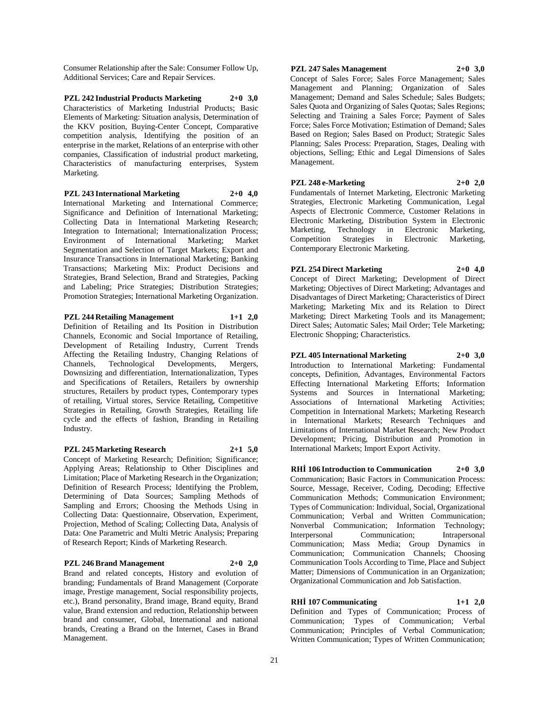Consumer Relationship after the Sale: Consumer Follow Up, Additional Services; Care and Repair Services.

**PZL 242 Industrial Products Marketing 2+0 3,0** Characteristics of Marketing Industrial Products; Basic Elements of Marketing: Situation analysis, Determination of the KKV position, Buying-Center Concept, Comparative competition analysis, Identifying the position of an enterprise in the market, Relations of an enterprise with other companies, Classification of industrial product marketing, Characteristics of manufacturing enterprises, System Marketing.

#### **PZL 243 International Marketing 2+0 4,0**

International Marketing and International Commerce; Significance and Definition of International Marketing; Collecting Data in International Marketing Research; Integration to International; Internationalization Process; Environment of International Marketing; Market Segmentation and Selection of Target Markets; Export and Insurance Transactions in International Marketing; Banking Transactions; Marketing Mix: Product Decisions and Strategies, Brand Selection, Brand and Strategies, Packing and Labeling; Price Strategies; Distribution Strategies; Promotion Strategies; International Marketing Organization.

#### **PZL 244 Retailing Management 1+1 2,0**

Definition of Retailing and Its Position in Distribution Channels, Economic and Social Importance of Retailing, Development of Retailing Industry, Current Trends Affecting the Retailing Industry, Changing Relations of Channels, Technological Developments, Mergers, Downsizing and differentiation, Internationalization, Types and Specifications of Retailers, Retailers by ownership structures, Retailers by product types, Contemporary types of retailing, Virtual stores, Service Retailing, Competitive Strategies in Retailing, Growth Strategies, Retailing life cycle and the effects of fashion, Branding in Retailing Industry.

#### **PZL 245 Marketing Research 2+1 5,0**

Concept of Marketing Research; Definition; Significance; Applying Areas; Relationship to Other Disciplines and Limitation; Place of Marketing Research in the Organization; Definition of Research Process; Identifying the Problem, Determining of Data Sources; Sampling Methods of Sampling and Errors; Choosing the Methods Using in Collecting Data: Questionnaire, Observation, Experiment, Projection, Method of Scaling; Collecting Data, Analysis of Data: One Parametric and Multi Metric Analysis; Preparing of Research Report; Kinds of Marketing Research.

#### **PZL 246 Brand Management 2+0 2,0**

Brand and related concepts, History and evolution of branding; Fundamentals of Brand Management (Corporate image, Prestige management, Social responsibility projects, etc.), Brand personality, Brand image, Brand equity, Brand value, Brand extension and reduction, Relationship between brand and consumer, Global, International and national brands, Creating a Brand on the Internet, Cases in Brand Management.

#### **PZL 247 Sales Management 2+0 3,0**

Concept of Sales Force; Sales Force Management; Sales Management and Planning; Organization of Sales Management; Demand and Sales Schedule; Sales Budgets; Sales Quota and Organizing of Sales Quotas; Sales Regions; Selecting and Training a Sales Force; Payment of Sales Force; Sales Force Motivation; Estimation of Demand; Sales Based on Region; Sales Based on Product; Strategic Sales Planning; Sales Process: Preparation, Stages, Dealing with objections, Selling; Ethic and Legal Dimensions of Sales Management.

**PZL 248 e-Marketing 2+0 2,0**

Fundamentals of Internet Marketing, Electronic Marketing Strategies, Electronic Marketing Communication, Legal Aspects of Electronic Commerce, Customer Relations in Electronic Marketing, Distribution System in Electronic Marketing, Technology in Electronic Marketing, Competition Strategies in Electronic Marketing, Contemporary Electronic Marketing.

#### **PZL 254 Direct Marketing 2+0 4,0**

Concept of Direct Marketing; Development of Direct Marketing; Objectives of Direct Marketing; Advantages and Disadvantages of Direct Marketing; Characteristics of Direct Marketing; Marketing Mix and its Relation to Direct Marketing; Direct Marketing Tools and its Management; Direct Sales; Automatic Sales; Mail Order; Tele Marketing; Electronic Shopping; Characteristics.

#### **PZL 405 International Marketing 2+0 3,0**

Introduction to International Marketing: Fundamental concepts, Definition, Advantages, Environmental Factors Effecting International Marketing Efforts; Information Systems and Sources in International Marketing; Associations of International Marketing Activities; Competition in International Markets; Marketing Research in International Markets; Research Techniques and Limitations of International Market Research; New Product Development; Pricing, Distribution and Promotion in International Markets; Import Export Activity.

**RHİ 106 Introduction to Communication 2+0 3,0** Communication; Basic Factors in Communication Process: Source, Message, Receiver, Coding, Decoding; Effective Communication Methods; Communication Environment; Types of Communication: Individual, Social, Organizational Communication; Verbal and Written Communication; Nonverbal Communication; Information Technology; Interpersonal Communication; Intrapersonal Communication; Mass Media; Group Dynamics in Communication; Communication Channels; Choosing Communication Tools According to Time, Place and Subject Matter; Dimensions of Communication in an Organization; Organizational Communication and Job Satisfaction.

#### **RHİ 107 Communicating 1+1 2,0** Definition and Types of Communication; Process of

Communication; Types of Communication; Verbal Communication; Principles of Verbal Communication; Written Communication; Types of Written Communication;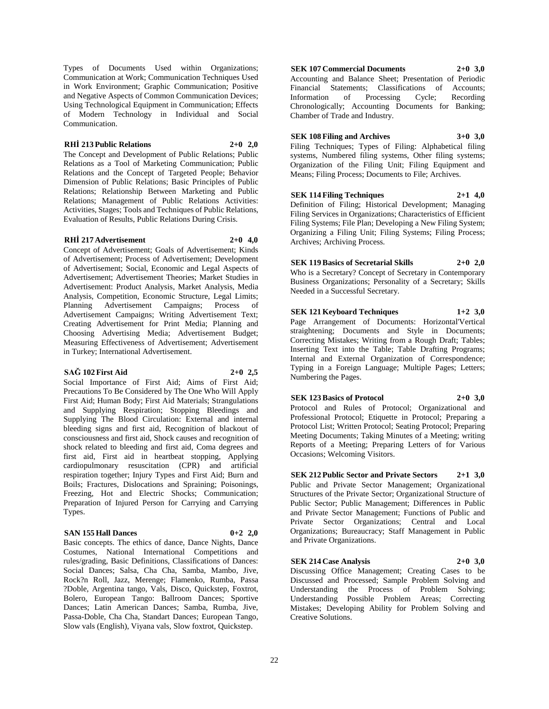Types of Documents Used within Organizations; Communication at Work; Communication Techniques Used in Work Environment; Graphic Communication; Positive and Negative Aspects of Common Communication Devices; Using Technological Equipment in Communication; Effects of Modern Technology in Individual and Social Communication.

#### **RHİ 213 Public Relations 2+0 2,0**

The Concept and Development of Public Relations; Public Relations as a Tool of Marketing Communication; Public Relations and the Concept of Targeted People; Behavior Dimension of Public Relations; Basic Principles of Public Relations; Relationship Between Marketing and Public Relations; Management of Public Relations Activities: Activities, Stages; Tools and Techniques of Public Relations, Evaluation of Results, Public Relations During Crisis.

#### **RHİ 217 Advertisement 2+0 4,0**

Concept of Advertisement; Goals of Advertisement; Kinds of Advertisement; Process of Advertisement; Development of Advertisement; Social, Economic and Legal Aspects of Advertisement; Advertisement Theories; Market Studies in Advertisement: Product Analysis, Market Analysis, Media Analysis, Competition, Economic Structure, Legal Limits; Planning Advertisement Campaigns; Process of Advertisement Campaigns; Writing Advertisement Text; Creating Advertisement for Print Media; Planning and Choosing Advertising Media; Advertisement Budget; Measuring Effectiveness of Advertisement; Advertisement in Turkey; International Advertisement.

# **SAĞ 102 First Aid 2+0 2,5**

Social Importance of First Aid; Aims of First Aid; Precautions To Be Considered by The One Who Will Apply First Aid; Human Body; First Aid Materials; Strangulations and Supplying Respiration; Stopping Bleedings and Supplying The Blood Circulation: External and internal bleeding signs and first aid, Recognition of blackout of consciousness and first aid, Shock causes and recognition of shock related to bleeding and first aid, Coma degrees and first aid, First aid in heartbeat stopping, Applying cardiopulmonary resuscitation (CPR) and artificial respiration together; Injury Types and First Aid; Burn and Boils; Fractures, Dislocations and Spraining; Poisonings, Freezing, Hot and Electric Shocks; Communication; Preparation of Injured Person for Carrying and Carrying Types.

#### **SAN 155 Hall Dances 0+2 2,0**

Basic concepts. The ethics of dance, Dance Nights, Dance Costumes, National International Competitions and rules/grading, Basic Definitions, Classifications of Dances: Social Dances; Salsa, Cha Cha, Samba, Mambo, Jive, Rock?n Roll, Jazz, Merenge; Flamenko, Rumba, Passa ?Doble, Argentina tango, Vals, Disco, Quickstep, Foxtrot, Bolero, European Tango: Ballroom Dances; Sportive Dances; Latin American Dances; Samba, Rumba, Jive, Passa-Doble, Cha Cha, Standart Dances; European Tango, Slow vals (English), Viyana vals, Slow foxtrot, Quickstep.

# **SEK 107 Commercial Documents 2+0 3,0**

Accounting and Balance Sheet; Presentation of Periodic Financial Statements; Classifications of Accounts; Information of Processing Cycle; Recording Chronologically; Accounting Documents for Banking; Chamber of Trade and Industry.

#### **SEK 108 Filing and Archives 3+0 3,0**

Filing Techniques; Types of Filing: Alphabetical filing systems, Numbered filing systems, Other filing systems; Organization of the Filing Unit; Filing Equipment and Means; Filing Process; Documents to File; Archives.

#### **SEK 114 Filing Techniques 2+1 4,0**

Definition of Filing; Historical Development; Managing Filing Services in Organizations; Characteristics of Efficient Filing Systems; File Plan; Developing a New Filing System; Organizing a Filing Unit; Filing Systems; Filing Process; Archives; Archiving Process.

### **SEK 119 Basics of Secretarial Skills 2+0 2,0**

Who is a Secretary? Concept of Secretary in Contemporary Business Organizations; Personality of a Secretary; Skills Needed in a Successful Secretary.

#### **SEK 121 Keyboard Techniques 1+2 3,0**

Page Arrangement of Documents: Horizontal'Vertical straightening; Documents and Style in Documents; Correcting Mistakes; Writing from a Rough Draft; Tables; Inserting Text into the Table; Table Drafting Programs; Internal and External Organization of Correspondence; Typing in a Foreign Language; Multiple Pages; Letters; Numbering the Pages.

#### **SEK 123 Basics of Protocol 2+0 3,0**

Protocol and Rules of Protocol; Organizational and Professional Protocol; Etiquette in Protocol; Preparing a Protocol List; Written Protocol; Seating Protocol; Preparing Meeting Documents; Taking Minutes of a Meeting; writing Reports of a Meeting; Preparing Letters of for Various Occasions; Welcoming Visitors.

**SEK 212 Public Sector and Private Sectors 2+1 3,0** Public and Private Sector Management; Organizational Structures of the Private Sector; Organizational Structure of Public Sector; Public Management; Differences in Public and Private Sector Management; Functions of Public and Private Sector Organizations; Central and Local Organizations; Bureaucracy; Staff Management in Public and Private Organizations.

### **SEK 214 Case Analysis 2+0 3,0**

Discussing Office Management; Creating Cases to be Discussed and Processed; Sample Problem Solving and Understanding the Process of Problem Solving; Understanding Possible Problem Areas; Correcting Mistakes; Developing Ability for Problem Solving and Creative Solutions.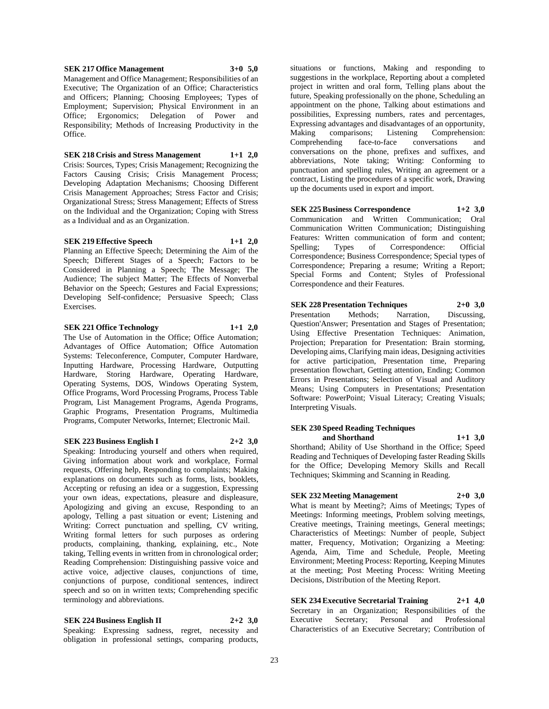#### **SEK 217 Office Management 3+0 5,0**

Management and Office Management; Responsibilities of an Executive; The Organization of an Office; Characteristics and Officers; Planning; Choosing Employees; Types of Employment; Supervision; Physical Environment in an Office; Ergonomics; Delegation of Power and Responsibility; Methods of Increasing Productivity in the Office.

#### **SEK 218 Crisis and Stress Management 1+1 2,0**

Crisis: Sources, Types; Crisis Management; Recognizing the Factors Causing Crisis; Crisis Management Process; Developing Adaptation Mechanisms; Choosing Different Crisis Management Approaches; Stress Factor and Crisis; Organizational Stress; Stress Management; Effects of Stress on the Individual and the Organization; Coping with Stress as a Individual and as an Organization.

#### **SEK 219 Effective Speech 1+1 2,0**

Planning an Effective Speech; Determining the Aim of the Speech; Different Stages of a Speech; Factors to be Considered in Planning a Speech; The Message; The Audience; The subject Matter; The Effects of Nonverbal Behavior on the Speech; Gestures and Facial Expressions; Developing Self-confidence; Persuasive Speech; Class Exercises.

#### **SEK 221 Office Technology 1+1 2,0**

The Use of Automation in the Office; Office Automation; Advantages of Office Automation; Office Automation Systems: Teleconference, Computer, Computer Hardware, Inputting Hardware, Processing Hardware, Outputting Hardware, Storing Hardware, Operating Hardware, Operating Systems, DOS, Windows Operating System, Office Programs, Word Processing Programs, Process Table Program, List Management Programs, Agenda Programs, Graphic Programs, Presentation Programs, Multimedia Programs, Computer Networks, Internet; Electronic Mail.

#### **SEK 223 Business English I 2+2 3,0**

Speaking: Introducing yourself and others when required, Giving information about work and workplace, Formal requests, Offering help, Responding to complaints; Making explanations on documents such as forms, lists, booklets, Accepting or refusing an idea or a suggestion, Expressing your own ideas, expectations, pleasure and displeasure, Apologizing and giving an excuse, Responding to an apology, Telling a past situation or event; Listening and Writing: Correct punctuation and spelling, CV writing, Writing formal letters for such purposes as ordering products, complaining, thanking, explaining, etc., Note taking, Telling events in written from in chronological order; Reading Comprehension: Distinguishing passive voice and active voice, adjective clauses, conjunctions of time, conjunctions of purpose, conditional sentences, indirect speech and so on in written texts; Comprehending specific terminology and abbreviations.

# **SEK 224 Business English II 2+2 3,0**

Speaking: Expressing sadness, regret, necessity and obligation in professional settings, comparing products,

situations or functions, Making and responding to suggestions in the workplace, Reporting about a completed project in written and oral form, Telling plans about the future, Speaking professionally on the phone, Scheduling an appointment on the phone, Talking about estimations and possibilities, Expressing numbers, rates and percentages, Expressing advantages and disadvantages of an opportunity,<br>Making comparisons; Listening Comprehension: Making comparisons; Listening Comprehension: Comprehending face-to-face conversations and conversations on the phone, prefixes and suffixes, and abbreviations, Note taking; Writing: Conforming to punctuation and spelling rules, Writing an agreement or a contract, Listing the procedures of a specific work, Drawing up the documents used in export and import.

**SEK 225 Business Correspondence 1+2 3,0** Communication and Written Communication; Oral Communication Written Communication; Distinguishing Features: Written communication of form and content;<br>Spelling: Types of Correspondence: Official Spelling; Types of Correspondence: Correspondence; Business Correspondence; Special types of Correspondence; Preparing a resume; Writing a Report; Special Forms and Content; Styles of Professional Correspondence and their Features.

**SEK 228 Presentation Techniques 2+0 3,0** Presentation Methods; Narration, Discussing, Question'Answer; Presentation and Stages of Presentation; Using Effective Presentation Techniques: Animation, Projection; Preparation for Presentation: Brain storming, Developing aims, Clarifying main ideas, Designing activities for active participation, Presentation time, Preparing presentation flowchart, Getting attention, Ending; Common Errors in Presentations; Selection of Visual and Auditory Means; Using Computers in Presentations; Presentation Software: PowerPoint; Visual Literacy; Creating Visuals; Interpreting Visuals.

### **SEK 230 Speed Reading Techniques and Shorthand 1+1 3,0**

Shorthand; Ability of Use Shorthand in the Office; Speed Reading and Techniques of Developing faster Reading Skills for the Office; Developing Memory Skills and Recall Techniques; Skimming and Scanning in Reading.

# **SEK 232 Meeting Management 2+0 3,0**

What is meant by Meeting?; Aims of Meetings; Types of Meetings: Informing meetings, Problem solving meetings, Creative meetings, Training meetings, General meetings; Characteristics of Meetings: Number of people, Subject matter, Frequency, Motivation; Organizing a Meeting: Agenda, Aim, Time and Schedule, People, Meeting Environment; Meeting Process: Reporting, Keeping Minutes at the meeting; Post Meeting Process: Writing Meeting Decisions, Distribution of the Meeting Report.

**SEK 234 Executive Secretarial Training 2+1 4,0** Secretary in an Organization; Responsibilities of the Executive Secretary; Personal and Professional Characteristics of an Executive Secretary; Contribution of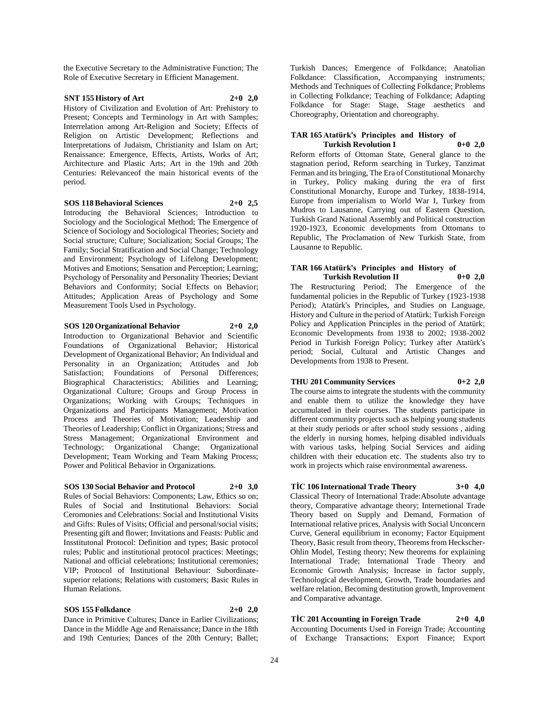the Executive Secretary to the Administrative Function; The Role of Executive Secretary in Efficient Management.

#### **SNT 155 History of Art 2+0 2,0**

History of Civilization and Evolution of Art: Prehistory to Present; Concepts and Terminology in Art with Samples; Interrelation among Art-Religion and Society; Effects of Religion on Artistic Development; Reflections and Interpretations of Judaism, Christianity and Islam on Art; Renaissance: Emergence, Effects, Artists, Works of Art; Architecture and Plastic Arts; Art in the 19th and 20th Centuries: Relevanceof the main historical events of the period.

#### **SOS 118 Behavioral Sciences 2+0 2,5**

Introducing the Behavioral Sciences; Introduction to Sociology and the Sociological Method; The Emergence of Science of Sociology and Sociological Theories; Society and Social structure; Culture; Socialization; Social Groups; The Family; Social Stratification and Social Change; Technology and Environment; Psychology of Lifelong Development; Motives and Emotions; Sensation and Perception; Learning; Psychology of Personality and Personality Theories; Deviant Behaviors and Conformity; Social Effects on Behavior; Attitudes; Application Areas of Psychology and Some Measurement Tools Used in Psychology.

#### **SOS 120 Organizational Behavior 2+0 2,0**

Introduction to Organizational Behavior and Scientific Foundations of Organizational Behavior; Historical Development of Organizational Behavior; An Individual and Personality in an Organization; Attitudes and Job Satisfaction; Foundations of Personal Differences; Biographical Characteristics; Abilities and Learning; Organizational Culture; Groups and Group Process in Organizations; Working with Groups; Techniques in Organizations and Participants Management; Motivation Process and Theories of Motivation; Leadership and Theories of Leadership; Conflict in Organizations; Stress and Stress Management; Organizational Environment and Technology; Organizational Change; Organizational Development; Team Working and Team Making Process; Power and Political Behavior in Organizations.

#### **SOS 130 Social Behavior and Protocol 2+0 3,0**

Rules of Social Behaviors: Components; Law, Ethics so on; Rules of Social and Institutional Behaviors: Social Ceromonies and Celebrations: Social and Institutional Visits and Gifts: Rules of Visits; Official and personal/social visits; Presenting gift and flower; Invitations and Feasts: Public and Insstitutonal Protocol: Definition and types; Basic protocol rules; Public and institutional protocol practices: Meetings; National and official celebrations; Institutional ceremonies; VIP; Protocol of Institutional Behaviour: Subordinatesuperior relations; Relations with customers; Basic Rules in Human Relations.

#### **SOS 155 Folkdance 2+0 2,0**

Dance in Primitive Cultures; Dance in Earlier Civilizations; Dance in the Middle Age and Renaissance; Dance in the 18th and 19th Centuries; Dances of the 20th Century; Ballet; Turkish Dances; Emergence of Folkdance; Anatolian Folkdance: Classification, Accompanying instruments; Methods and Techniques of Collecting Folkdance; Problems in Collecting Folkdance; Teaching of Folkdance; Adapting Folkdance for Stage: Stage, Stage aesthetics and Choreography, Orientation and choreography.

#### **TAR 165 Atatürk's Principles and History of Turkish Revolution I 0+0 2,0**

Reform efforts of Ottoman State, General glance to the stagnation period, Reform searching in Turkey, Tanzimat Ferman and its bringing, The Era of Constitutional Monarchy in Turkey, Policy making during the era of first Constitutional Monarchy, Europe and Turkey, 1838-1914, Europe from imperialism to World War I, Turkey from Mudros to Lausanne, Carrying out of Eastern Question, Turkish Grand National Assembly and Political construction 1920-1923, Economic developments from Ottomans to Republic, The Proclamation of New Turkish State, from Lausanne to Republic.

#### **TAR 166 Atatürk's Principles and History of Turkish Revolution II 0+0 2,0**

The Restructuring Period; The Emergence of the fundamental policies in the Republic of Turkey (1923-1938 Period); Atatürk's Principles, and Studies on Language, History and Culture in the period of Atatürk; Turkish Foreign Policy and Application Principles in the period of Atatürk; Economic Developments from 1938 to 2002; 1938-2002 Period in Turkish Foreign Policy; Turkey after Atatürk's period; Social, Cultural and Artistic Changes and Developments from 1938 to Present.

#### **THU 201 Community Services 0+2 2,0**

The course aims to integrate the students with the community and enable them to utilize the knowledge they have accumulated in their courses. The students participate in different community projects such as helping young students at their study periods or after school study sessions , aiding the elderly in nursing homes, helping disabled individuals with various tasks, helping Social Services and aiding children with their education etc. The students also try to work in projects which raise environmental awareness.

#### **TİC 106 International Trade Theory 3+0 4,0**

Classical Theory of International Trade:Absolute advantage theory, Comparative advantage theory; Internetional Trade Theory based on Supply and Demand, Formation of International relative prices, Analysis with Social Unconcern Curve, General equilibrium in economy; Factor Equipment Theory, Basic result from theory, Theorems from Heckscher-Ohlin Model, Testing theory; New theorems for explaining International Trade; International Trade Theory and Economic Growth Analysis; Increase in factor supply, Technological development, Growth, Trade boundaries and welfare relation, Becoming destitution growth, Improvement and Comparative advantage.

#### **TİC 201 Accounting in Foreign Trade 2+0 4,0** Accounting Documents Used in Foreign Trade; Accounting of Exchange Transactions; Export Finance; Export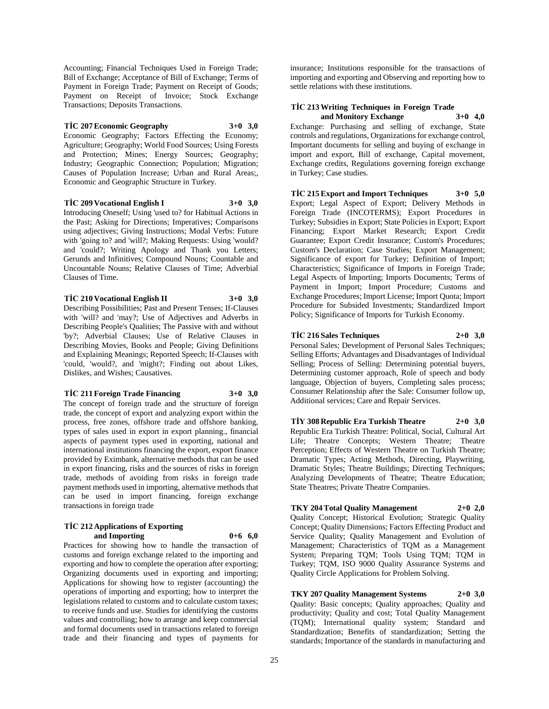Accounting; Financial Techniques Used in Foreign Trade; Bill of Exchange; Acceptance of Bill of Exchange; Terms of Payment in Foreign Trade; Payment on Receipt of Goods; Payment on Receipt of Invoice; Stock Exchange Transactions; Deposits Transactions.

#### **TİC 207 Economic Geography 3+0 3,0**

Economic Geography; Factors Effecting the Economy; Agriculture; Geography; World Food Sources; Using Forests and Protection; Mines; Energy Sources; Geography; Industry; Geographic Connection; Population; Migration; Causes of Population Increase; Urban and Rural Areas;, Economic and Geographic Structure in Turkey.

#### **TİC 209 Vocational English I 3+0 3,0**

Introducing Oneself; Using 'used to? for Habitual Actions in the Past; Asking for Directions; Imperatives; Comparisons using adjectives; Giving Instructions; Modal Verbs: Future with 'going to? and 'will?; Making Requests: Using 'would? and 'could?; Writing Apology and Thank you Letters; Gerunds and Infinitives; Compound Nouns; Countable and Uncountable Nouns; Relative Clauses of Time; Adverbial Clauses of Time.

#### **TİC 210 Vocational English II 3+0 3,0**

Describing Possibilities; Past and Present Tenses; If-Clauses with 'will? and 'may?; Use of Adjectives and Adverbs in Describing People's Qualities; The Passive with and without 'by?; Adverbial Clauses; Use of Relative Clauses in Describing Movies, Books and People; Giving Definitions and Explaining Meanings; Reported Speech; If-Clauses with 'could, 'would?, and 'might?; Finding out about Likes, Dislikes, and Wishes; Causatives.

#### **TİC 211 Foreign Trade Financing 3+0 3,0**

The concept of foreign trade and the structure of foreign trade, the concept of export and analyzing export within the process, free zones, offshore trade and offshore banking, types of sales used in export in export planning., financial aspects of payment types used in exporting, national and international institutions financing the export, export finance provided by Eximbank, alternative methods that can be used in export financing, risks and the sources of risks in foreign trade, methods of avoiding from risks in foreign trade payment methods used in importing, alternative methods that can be used in import financing, foreign exchange transactions in foreign trade

#### **TİC 212 Applications of Exporting and Importing 0+6 6,0**

Practices for showing how to handle the transaction of customs and foreign exchange related to the importing and exporting and how to complete the operation after exporting; Organizing documents used in exporting and importing; Applications for showing how to register (accounting) the operations of importing and exporting; how to interpret the legislations related to customs and to calculate custom taxes; to receive funds and use. Studies for identifying the customs values and controlling; how to arrange and keep commercial and formal documents used in transactions related to foreign trade and their financing and types of payments for

insurance; Institutions responsible for the transactions of importing and exporting and Observing and reporting how to settle relations with these institutions.

# **TİC 213 Writing Techniques in Foreign Trade**

**and Monitory Exchange 3+0 4,0** Exchange: Purchasing and selling of exchange, State controls and regulations, Organizations for exchange control, Important documents for selling and buying of exchange in import and export, Bill of exchange, Capital movement, Exchange credits, Regulations governing foreign exchange in Turkey; Case studies.

**TİC 215 Export and Import Techniques 3+0 5,0** Export; Legal Aspect of Export; Delivery Methods in Foreign Trade (INCOTERMS); Export Procedures in Turkey; Subsidies in Export; State Policies in Export; Export Financing; Export Market Research; Export Credit Guarantee; Export Credit Insurance; Custom's Procedures; Custom's Declaration; Case Studies; Export Management; Significance of export for Turkey; Definition of Import; Characteristics; Significance of Imports in Foreign Trade; Legal Aspects of Importing; Imports Documents; Terms of Payment in Import; Import Procedure; Customs and Exchange Procedures; Import License; Import Quota; Import Procedure for Subsided Investments; Standardized Import Policy; Significance of Imports for Turkish Economy.

#### **TİC 216 Sales Techniques 2+0 3,0**

Personal Sales; Development of Personal Sales Techniques; Selling Efforts; Advantages and Disadvantages of Individual Selling; Process of Selling: Determining potential buyers, Determining customer approach, Role of speech and body language, Objection of buyers, Completing sales process; Consumer Relationship after the Sale: Consumer follow up, Additional services; Care and Repair Services.

**TİY 308 Republic Era Turkish Theatre 2+0 3,0** Republic Era Turkish Theatre: Political, Social, Cultural Art Life; Theatre Concepts; Western Theatre; Theatre Perception; Effects of Western Theatre on Turkish Theatre; Dramatic Types; Acting Methods, Directing, Playwriting, Dramatic Styles; Theatre Buildings; Directing Techniques; Analyzing Developments of Theatre; Theatre Education; State Theatres; Private Theatre Companies.

# **TKY 204 Total Quality Management 2+0 2,0**

Quality Concept; Historical Evolution; Strategic Quality Concept; Quality Dimensions; Factors Effecting Product and Service Quality; Quality Management and Evolution of Management; Characteristics of TQM as a Management System; Preparing TQM; Tools Using TQM; TQM in Turkey; TQM, ISO 9000 Quality Assurance Systems and Quality Circle Applications for Problem Solving.

**TKY 207 Quality Management Systems 2+0 3,0** Quality: Basic concepts; Quality approaches; Quality and productivity; Quality and cost; Total Quality Management (TQM); International quality system; Standard and Standardization; Benefits of standardization; Setting the standards; Importance of the standards in manufacturing and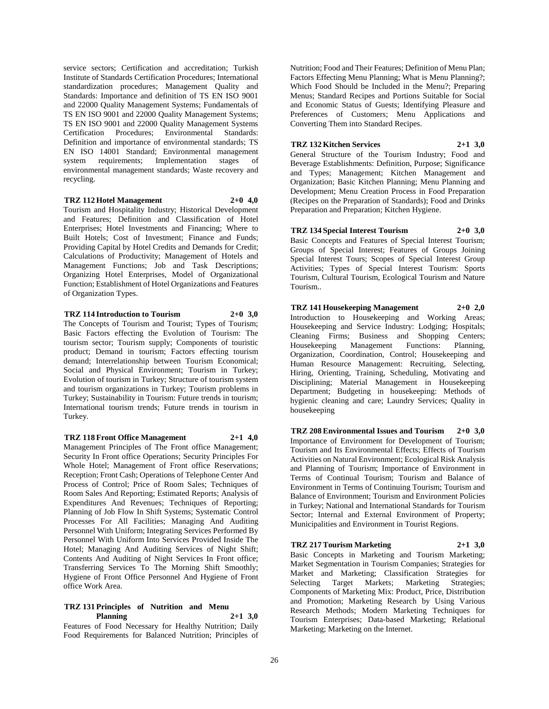service sectors; Certification and accreditation; Turkish Institute of Standards Certification Procedures; International standardization procedures; Management Quality and Standards: Importance and definition of TS EN ISO 9001 and 22000 Quality Management Systems; Fundamentals of TS EN ISO 9001 and 22000 Quality Management Systems; TS EN ISO 9001 and 22000 Quality Management Systems Certification Procedures; Environmental Standards: Definition and importance of environmental standards; TS EN ISO 14001 Standard; Environmental management system requirements; Implementation stages of environmental management standards; Waste recovery and recycling.

#### **TRZ 112 Hotel Management 2+0 4,0**

Tourism and Hospitality Industry; Historical Development and Features; Definition and Classification of Hotel Enterprises; Hotel Investments and Financing; Where to Built Hotels; Cost of Investment; Finance and Funds; Providing Capital by Hotel Credits and Demands for Credit; Calculations of Productivity; Management of Hotels and Management Functions; Job and Task Descriptions; Organizing Hotel Enterprises, Model of Organizational Function; Establishment of Hotel Organizations and Features of Organization Types.

#### **TRZ 114 Introduction to Tourism 2+0 3,0**

The Concepts of Tourism and Tourist; Types of Tourism; Basic Factors effecting the Evolution of Tourism: The tourism sector; Tourism supply; Components of touristic product; Demand in tourism; Factors effecting tourism demand; Interrelationship between Tourism Economical; Social and Physical Environment; Tourism in Turkey; Evolution of tourism in Turkey; Structure of tourism system and tourism organizations in Turkey; Tourism problems in Turkey; Sustainability in Tourism: Future trends in tourism; International tourism trends; Future trends in tourism in Turkey.

### **TRZ 118 Front Office Management 2+1 4,0**

Management Principles of The Front office Management; Security In Front office Operations; Security Principles For Whole Hotel; Management of Front office Reservations; Reception; Front Cash; Operations of Telephone Center And Process of Control; Price of Room Sales; Techniques of Room Sales And Reporting; Estimated Reports; Analysis of Expenditures And Revenues; Techniques of Reporting; Planning of Job Flow In Shift Systems; Systematic Control Processes For All Facilities; Managing And Auditing Personnel With Uniform; Integrating Services Performed By Personnel With Uniform Into Services Provided Inside The Hotel; Managing And Auditing Services of Night Shift; Contents And Auditing of Night Services In Front office; Transferring Services To The Morning Shift Smoothly; Hygiene of Front Office Personnel And Hygiene of Front office Work Area.

### **TRZ 131 Principles of Nutrition and Menu Planning 2+1 3,0**

Features of Food Necessary for Healthy Nutrition; Daily Food Requirements for Balanced Nutrition; Principles of

Nutrition; Food and Their Features; Definition of Menu Plan; Factors Effecting Menu Planning; What is Menu Planning?; Which Food Should be Included in the Menu?; Preparing Menus; Standard Recipes and Portions Suitable for Social and Economic Status of Guests; Identifying Pleasure and Preferences of Customers; Menu Applications and Converting Them into Standard Recipes.

**TRZ 132 Kitchen Services 2+1 3,0**

General Structure of the Tourism Industry; Food and Beverage Establishments: Definition, Purpose; Significance and Types; Management; Kitchen Management and Organization; Basic Kitchen Planning; Menu Planning and Development; Menu Creation Process in Food Preparation (Recipes on the Preparation of Standards); Food and Drinks Preparation and Preparation; Kitchen Hygiene.

# **TRZ 134 Special Interest Tourism 2+0 3,0**

Basic Concepts and Features of Special Interest Tourism; Groups of Special Interest; Features of Groups Joining Special Interest Tours; Scopes of Special Interest Group Activities; Types of Special Interest Tourism: Sports Tourism, Cultural Tourism, Ecological Tourism and Nature Tourism..

**TRZ 141 Housekeeping Management 2+0 2,0** Introduction to Housekeeping and Working Areas; Housekeeping and Service Industry: Lodging; Hospitals; Cleaning Firms; Business and Shopping Centers; Housekeeping Management Functions: Planning, Organization, Coordination, Control; Housekeeping and Human Resource Management: Recruiting, Selecting, Hiring, Orienting, Training, Scheduling, Motivating and Disciplining; Material Management in Housekeeping Department; Budgeting in housekeeping: Methods of hygienic cleaning and care; Laundry Services; Quality in housekeeping

**TRZ 208 Environmental Issues and Tourism 2+0 3,0** Importance of Environment for Development of Tourism; Tourism and Its Environmental Effects; Effects of Tourism Activities on Natural Environment; Ecological Risk Analysis and Planning of Tourism; Importance of Environment in Terms of Continual Tourism; Tourism and Balance of Environment in Terms of Continuing Tourism; Tourism and Balance of Environment; Tourism and Environment Policies in Turkey; National and International Standards for Tourism Sector; Internal and External Environment of Property; Municipalities and Environment in Tourist Regions.

**TRZ 217 Tourism Marketing 2+1 3,0** Basic Concepts in Marketing and Tourism Marketing; Market Segmentation in Tourism Companies; Strategies for Market and Marketing; Classification Strategies for Selecting Target Markets; Marketing Strategies; Components of Marketing Mix: Product, Price, Distribution and Promotion; Marketing Research by Using Various Research Methods; Modern Marketing Techniques for Tourism Enterprises; Data-based Marketing; Relational Marketing; Marketing on the Internet.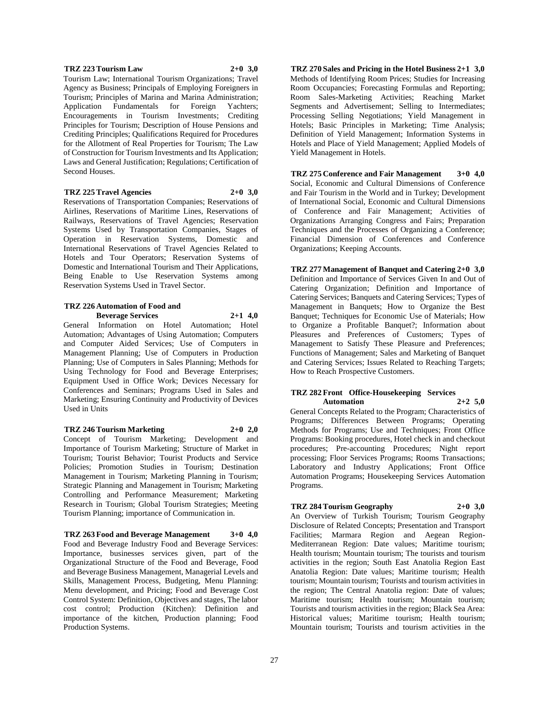#### **TRZ 223 Tourism Law 2+0 3,0**

Tourism Law; International Tourism Organizations; Travel Agency as Business; Principals of Employing Foreigners in Tourism; Principles of Marina and Marina Administration; Application Fundamentals for Foreign Yachters; Encouragements in Tourism Investments; Crediting Principles for Tourism; Description of House Pensions and Crediting Principles; Qualifications Required for Procedures for the Allotment of Real Properties for Tourism; The Law of Construction for Tourism Investments and Its Application; Laws and General Justification; Regulations; Certification of Second Houses.

#### **TRZ 225 Travel Agencies 2+0 3,0**

Reservations of Transportation Companies; Reservations of Airlines, Reservations of Maritime Lines, Reservations of Railways, Reservations of Travel Agencies; Reservation Systems Used by Transportation Companies, Stages of Operation in Reservation Systems, Domestic and International Reservations of Travel Agencies Related to Hotels and Tour Operators; Reservation Systems of Domestic and International Tourism and Their Applications, Being Enable to Use Reservation Systems among Reservation Systems Used in Travel Sector.

#### **TRZ 226 Automation of Food and Beverage Services 2+1 4,0**

General Information on Hotel Automation; Hotel Automation; Advantages of Using Automation; Computers and Computer Aided Services; Use of Computers in Management Planning; Use of Computers in Production Planning; Use of Computers in Sales Planning; Methods for Using Technology for Food and Beverage Enterprises; Equipment Used in Office Work; Devices Necessary for Conferences and Seminars; Programs Used in Sales and Marketing; Ensuring Continuity and Productivity of Devices Used in Units

#### **TRZ 246 Tourism Marketing 2+0 2,0**

Concept of Tourism Marketing; Development and Importance of Tourism Marketing; Structure of Market in Tourism; Tourist Behavior; Tourist Products and Service Policies; Promotion Studies in Tourism; Destination Management in Tourism; Marketing Planning in Tourism; Strategic Planning and Management in Tourism; Marketing Controlling and Performance Measurement; Marketing Research in Tourism; Global Tourism Strategies; Meeting Tourism Planning; importance of Communication in.

**TRZ 263 Food and Beverage Management 3+0 4,0** Food and Beverage Industry Food and Beverage Services: Importance, businesses services given, part of the Organizational Structure of the Food and Beverage, Food and Beverage Business Management, Managerial Levels and Skills, Management Process, Budgeting, Menu Planning: Menu development, and Pricing; Food and Beverage Cost Control System: Definition, Objectives and stages, The labor cost control; Production (Kitchen): Definition and importance of the kitchen, Production planning; Food Production Systems.

**TRZ 270 Sales and Pricing in the Hotel Business 2+1 3,0** Methods of Identifying Room Prices; Studies for Increasing Room Occupancies; Forecasting Formulas and Reporting; Room Sales-Marketing Activities; Reaching Market Segments and Advertisement; Selling to Intermediates; Processing Selling Negotiations; Yield Management in Hotels; Basic Principles in Marketing; Time Analysis; Definition of Yield Management; Information Systems in Hotels and Place of Yield Management; Applied Models of Yield Management in Hotels.

**TRZ 275 Conference and Fair Management 3+0 4,0** Social, Economic and Cultural Dimensions of Conference and Fair Tourism in the World and in Turkey; Development of International Social, Economic and Cultural Dimensions of Conference and Fair Management; Activities of Organizations Arranging Congress and Fairs; Preparation Techniques and the Processes of Organizing a Conference; Financial Dimension of Conferences and Conference Organizations; Keeping Accounts.

**TRZ 277 Management of Banquet and Catering 2+0 3,0** Definition and Importance of Services Given In and Out of Catering Organization; Definition and Importance of Catering Services; Banquets and Catering Services; Types of Management in Banquets; How to Organize the Best Banquet; Techniques for Economic Use of Materials; How to Organize a Profitable Banquet?; Information about Pleasures and Preferences of Customers; Types of Management to Satisfy These Pleasure and Preferences; Functions of Management; Sales and Marketing of Banquet and Catering Services; Issues Related to Reaching Targets; How to Reach Prospective Customers.

#### **TRZ 282 Front Office-Housekeeping Services Automation 2+2 5,0**

General Concepts Related to the Program; Characteristics of Programs; Differences Between Programs; Operating Methods for Programs; Use and Techniques; Front Office Programs: Booking procedures, Hotel check in and checkout procedures; Pre-accounting Procedures; Night report processing; Floor Services Programs; Rooms Transactions; Laboratory and Industry Applications; Front Office Automation Programs; Housekeeping Services Automation Programs.

#### **TRZ 284 Tourism Geography 2+0 3,0**

An Overview of Turkish Tourism; Tourism Geography Disclosure of Related Concepts; Presentation and Transport Facilities; Marmara Region and Aegean Region-Mediterranean Region: Date values; Maritime tourism; Health tourism; Mountain tourism; The tourists and tourism activities in the region; South East Anatolia Region East Anatolia Region: Date values; Maritime tourism; Health tourism; Mountain tourism; Tourists and tourism activities in the region; The Central Anatolia region: Date of values; Maritime tourism; Health tourism; Mountain tourism; Tourists and tourism activities in the region; Black Sea Area: Historical values; Maritime tourism; Health tourism; Mountain tourism; Tourists and tourism activities in the